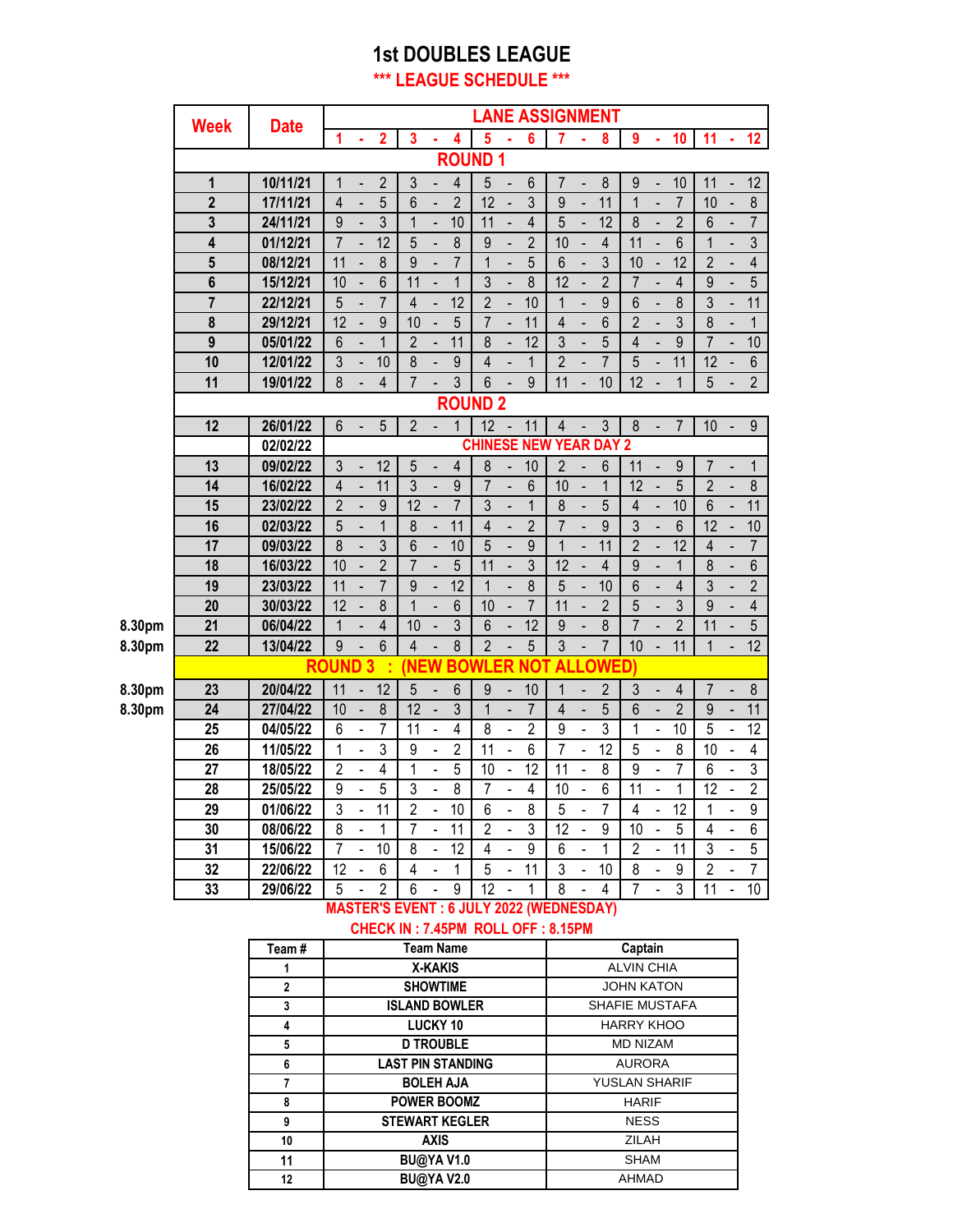#### **1st DOUBLES LEAGUE \*\*\* LEAGUE SCHEDULE \*\*\***

|        |                |             |                 |                              |                 |                 |                          |                 |                 |                              |                 | <b>LANE ASSIGNMENT</b>        |                          |                  |                 |                              |                 |                |                          |                         |
|--------|----------------|-------------|-----------------|------------------------------|-----------------|-----------------|--------------------------|-----------------|-----------------|------------------------------|-----------------|-------------------------------|--------------------------|------------------|-----------------|------------------------------|-----------------|----------------|--------------------------|-------------------------|
|        | <b>Week</b>    | <b>Date</b> | 1               |                              | $\overline{2}$  | 3               | ä,                       | 4               | 5               |                              | $6\phantom{a}$  | 7                             | ä                        | 8                | $\overline{9}$  |                              | 10              | 11             | ä,                       | 12                      |
|        |                |             |                 |                              |                 |                 |                          |                 | <b>ROUND1</b>   |                              |                 |                               |                          |                  |                 |                              |                 |                |                          |                         |
|        | 1              | 10/11/21    | 1               |                              | $\overline{2}$  | $\mathfrak{Z}$  | $\overline{a}$           | $\overline{4}$  | 5               |                              | 6               | $\overline{7}$                | $\overline{a}$           | 8                | 9               |                              | 10              | 11             | $\overline{a}$           | 12                      |
|        | $\overline{2}$ | 17/11/21    | $\overline{4}$  | $\qquad \qquad \blacksquare$ | 5               | 6               | $\overline{\phantom{a}}$ | $\overline{2}$  | $\overline{12}$ | $\blacksquare$               | $\overline{3}$  | $\overline{9}$                | $\overline{\phantom{0}}$ | 11               | $\mathbf{1}$    | $\overline{a}$               | $\overline{7}$  | 10             | $\overline{a}$           | $\overline{8}$          |
|        | $\mathbf 3$    | 24/11/21    | 9               |                              | 3               | 1               | $\overline{\phantom{a}}$ | 10              | 11              | $\qquad \qquad \blacksquare$ | 4               | 5                             | -                        | 12               | 8               |                              | $\overline{2}$  | 6              | $\overline{\phantom{a}}$ | $\overline{7}$          |
|        | 4              | 01/12/21    | $\overline{7}$  |                              | 12              | 5               |                          | 8               | 9               |                              | $\overline{2}$  | 10                            |                          | $\overline{4}$   | 11              |                              | 6               | $\mathbf{1}$   |                          | $\overline{3}$          |
|        | 5              | 08/12/21    | 11              |                              | 8               | 9               |                          | $\overline{7}$  | $\overline{1}$  |                              | 5               | $6\phantom{a}$                |                          | $\overline{3}$   | 10              |                              | 12              | $\overline{2}$ |                          | $\overline{\mathbf{4}}$ |
|        | $6\phantom{a}$ | 15/12/21    | 10              |                              | $\overline{6}$  | 11              |                          | $\overline{1}$  | 3               |                              | 8               | $\overline{12}$               |                          | $\overline{2}$   | $\overline{7}$  |                              | $\overline{4}$  | $\overline{9}$ |                          | 5                       |
|        | $\overline{7}$ | 22/12/21    | 5               |                              | $\overline{7}$  | $\overline{4}$  | $\overline{a}$           | $\overline{12}$ | $\overline{2}$  |                              | 10              | $\mathbf{1}$                  | $\overline{a}$           | $\overline{9}$   | $6\phantom{a}$  |                              | 8               | $\overline{3}$ | $\overline{a}$           | 11                      |
|        | 8              | 29/12/21    | 12              |                              | 9               | 10              | $\overline{a}$           | 5               | $\overline{7}$  |                              | 11              | $\overline{4}$                | $\overline{a}$           | 6                | $\overline{2}$  |                              | 3               | 8              | $\overline{a}$           | $\mathbf{1}$            |
|        | $\overline{9}$ | 05/01/22    | 6               | $\overline{a}$               | $\overline{1}$  | $\overline{2}$  | $\overline{a}$           | 11              | 8               | $\blacksquare$               | 12              | 3                             | $\overline{a}$           | 5                | $\overline{4}$  | $\overline{a}$               | $\overline{9}$  | $\overline{7}$ | $\overline{a}$           | 10                      |
|        | 10             | 12/01/22    | 3               | $\overline{a}$               | 10              | $\delta$        | $\overline{\phantom{a}}$ | 9               | $\overline{4}$  | $\blacksquare$               | 1               | $\overline{2}$                | -                        | 7                | 5               |                              | 11              | 12             | $\overline{a}$           | 6                       |
|        | 11             | 19/01/22    | 8               |                              | $\overline{4}$  | $\overline{7}$  |                          | 3               | $6\phantom{a}$  | $\qquad \qquad \blacksquare$ | 9               | 11                            |                          | 10               | $\overline{12}$ |                              | $\overline{1}$  | 5              | $\overline{a}$           | $\overline{2}$          |
|        |                |             |                 |                              |                 |                 |                          |                 | <b>ROUND 2</b>  |                              |                 |                               |                          |                  |                 |                              |                 |                |                          |                         |
|        | 12             | 26/01/22    | $6\phantom{1}$  | $\overline{\phantom{a}}$     | 5               | $\overline{2}$  |                          | $\mathbf 1$     | 12              |                              | 11              | $\overline{\mathbf{4}}$       |                          | 3                | $\bf 8$         | $\qquad \qquad \blacksquare$ | $\overline{7}$  | 10             |                          | $\boldsymbol{9}$        |
|        |                | 02/02/22    |                 |                              |                 |                 |                          |                 |                 |                              |                 | <b>CHINESE NEW YEAR DAY 2</b> |                          |                  |                 |                              |                 |                |                          |                         |
|        | 13             | 09/02/22    | $\overline{3}$  |                              | $\overline{12}$ | 5               |                          | $\overline{4}$  | 8               |                              | 10              | $\overline{2}$                |                          | $6\phantom{a}$   | 11              |                              | 9               | $\overline{7}$ |                          | 1                       |
|        | 14             | 16/02/22    | $\overline{4}$  |                              | 11              | $\overline{3}$  |                          | $\overline{9}$  | $\overline{7}$  |                              | 6               | 10                            | $\overline{a}$           | $\overline{1}$   | 12              |                              | 5               | $\overline{2}$ |                          | $\overline{8}$          |
|        | 15             | 23/02/22    | $\overline{2}$  |                              | 9               | $\overline{12}$ |                          | $\overline{7}$  | 3               |                              | $\mathbf{1}$    | 8                             |                          | 5                | $\overline{4}$  |                              | 10              | $6\phantom{a}$ |                          | 11                      |
|        | 16             | 02/03/22    | 5               |                              | $\mathbf{1}$    | $\delta$        | $\overline{a}$           | 11              | $\overline{4}$  | $\overline{a}$               | $\overline{2}$  | $\overline{7}$                | $\overline{a}$           | $\boldsymbol{9}$ | $\overline{3}$  |                              | 6               | 12             | $\overline{a}$           | 10                      |
|        | 17             | 09/03/22    | 8               | ÷,                           | 3               | 6               | $\overline{a}$           | 10              | 5               | $\blacksquare$               | 9               | $\mathbf{1}$                  | $\overline{a}$           | 11               | $\overline{2}$  | $\frac{1}{2}$                | $\overline{12}$ | $\overline{4}$ | $\overline{a}$           | 7                       |
|        | 18             | 16/03/22    | 10              | $\overline{\phantom{a}}$     | $\overline{2}$  | $\overline{7}$  | $\overline{a}$           | 5               | 11              | $\blacksquare$               | 3               | $\overline{12}$               | $\overline{a}$           | 4                | 9               | $\overline{a}$               | 1               | 8              | $\overline{a}$           | $\overline{6}$          |
|        | 19             | 23/03/22    | 11              |                              | $\overline{7}$  | 9               | $\overline{\phantom{a}}$ | $\overline{12}$ | $\mathbf{1}$    |                              | 8               | 5                             | -                        | 10               | $6\phantom{a}$  | -                            | $\overline{4}$  | 3              |                          | $\overline{2}$          |
|        | 20             | 30/03/22    | 12              |                              | 8               | $\overline{1}$  |                          | 6               | 10              |                              | $\overline{7}$  | 11                            |                          | $\overline{2}$   | 5               |                              | $\overline{3}$  | $\overline{9}$ |                          | $\overline{\mathbf{4}}$ |
| 8.30pm | 21             | 06/04/22    | $\mathbf{1}$    |                              | $\overline{4}$  | 10              |                          | $\overline{3}$  | 6               |                              | $\overline{12}$ | 9                             |                          | 8                | $\overline{7}$  |                              | $\overline{2}$  | 11             |                          | $\overline{5}$          |
| 8.30pm | 22             | 13/04/22    | 9               |                              | 6               | $\overline{4}$  |                          | 8               | $\overline{2}$  |                              | 5               | 3                             |                          | $\overline{7}$   | 10              |                              | 11              | $\mathbf{1}$   | $\blacksquare$           | $\overline{12}$         |
|        |                |             | <b>ROUND3</b>   |                              |                 | <b>NEW</b>      |                          | <b>BOWL</b>     |                 | .ER                          | NO1             |                               |                          | <b>ALLOWED)</b>  |                 |                              |                 |                |                          |                         |
| 8.30pm | 23             | 20/04/22    | 11              |                              | 12              | 5               |                          | $6\phantom{a}$  | 9               |                              | 10              | $\overline{1}$                |                          | $\overline{2}$   | $\mathfrak{Z}$  |                              | $\overline{4}$  | $\overline{7}$ |                          | $\bf 8$                 |
| 8.30pm | 24             | 27/04/22    | 10              |                              | 8               | $\overline{12}$ |                          | 3               | $\overline{1}$  |                              | $\overline{7}$  | $\overline{4}$                |                          | 5                | $6\phantom{a}$  |                              | $\overline{2}$  | $\overline{9}$ |                          | 11                      |
|        | 25             | 04/05/22    | $6\phantom{1}6$ | $\overline{\phantom{a}}$     | $\overline{7}$  | 11              | $\overline{a}$           | $\overline{4}$  | $\overline{8}$  | $\overline{a}$               | $\overline{2}$  | $\overline{9}$                | $\overline{a}$           | $\overline{3}$   | 1               | $\overline{\phantom{a}}$     | 10              | $\overline{5}$ | $\overline{a}$           | $\overline{12}$         |
|        | 26             | 11/05/22    | 1               | $\overline{a}$               | 3               | 9               | $\overline{a}$           | $\overline{2}$  | 11              | $\overline{\phantom{a}}$     | 6               | $\overline{7}$                | $\overline{a}$           | $\overline{12}$  | 5               | $\overline{a}$               | 8               | 10             | $\overline{a}$           | 4                       |
|        | 27             | 18/05/22    | $\overline{2}$  | $\overline{\phantom{0}}$     | 4               | 1               | $\blacksquare$           | 5               | 10              | $\blacksquare$               | 12              | 11                            | ÷                        | 8                | 9               | $\blacksquare$               | 7               | 6              |                          | 3                       |
|        | 28             | 25/05/22    | 9               |                              | 5               | 3               |                          | 8               | $\overline{7}$  | ÷,                           | 4               | 10                            | $\overline{a}$           | 6                | 11              | $\overline{a}$               | 1               | 12             |                          | $\overline{c}$          |
|        | 29             | 01/06/22    | $\overline{3}$  | $\overline{a}$               | $\overline{11}$ | $\overline{2}$  | $\overline{a}$           | $\overline{10}$ | 6               | $\blacksquare$               | $\overline{8}$  | 5                             | $\overline{a}$           | $\overline{7}$   | $\overline{4}$  | $\frac{1}{2}$                | $\overline{12}$ | 1              | $\overline{a}$           | 9                       |
|        | 30             | 08/06/22    | 8               | L,                           | $\mathbf 1$     | $\overline{7}$  | $\overline{a}$           | $\overline{11}$ | $\overline{2}$  |                              | $\overline{3}$  | 12                            | $\overline{\phantom{a}}$ | $\overline{9}$   | $\overline{10}$ |                              | $\overline{5}$  | $\overline{4}$ | $\overline{a}$           | $\overline{6}$          |
|        | 31             | 15/06/22    | $\overline{7}$  |                              | 10              | 8               | $\overline{a}$           | 12              | 4               |                              | 9               | 6                             |                          | $\mathbf{1}$     | $\overline{2}$  |                              | 11              | 3              | $\overline{a}$           | 5                       |
|        | 32             | 22/06/22    | $\overline{12}$ |                              | 6               | 4               | $\overline{a}$           | 1               | 5               |                              | 11              | 3                             | $\overline{a}$           | 10               | 8               |                              | $\overline{9}$  | $\overline{2}$ | $\overline{a}$           | 7                       |
|        | 33             | 29/06/22    | 5               | $\overline{a}$               | $\overline{2}$  | 6               | $\overline{a}$           | 9               | 12              |                              | 1               | 8                             | $\overline{a}$           | 4                | 7               | -                            | 3               | 11             | $\overline{a}$           | 10                      |

#### **MASTER'S EVENT : 6 JULY 2022 (WEDNESDAY) CHECK IN : 7.45PM ROLL OFF : 8.15PM**

| Team #      | <b>Team Name</b>         | Captain               |
|-------------|--------------------------|-----------------------|
|             | <b>X-KAKIS</b>           | <b>ALVIN CHIA</b>     |
| $\mathbf 2$ | <b>SHOWTIME</b>          | <b>JOHN KATON</b>     |
| 3           | <b>ISLAND BOWLER</b>     | <b>SHAFIE MUSTAFA</b> |
| 4           | <b>LUCKY 10</b>          | <b>HARRY KHOO</b>     |
| 5           | <b>D TROUBLE</b>         | <b>MD NIZAM</b>       |
| 6           | <b>LAST PIN STANDING</b> | <b>AURORA</b>         |
| 7           | <b>BOLEH AJA</b>         | <b>YUSLAN SHARIF</b>  |
| 8           | <b>POWER BOOMZ</b>       | <b>HARIF</b>          |
| 9           | <b>STEWART KEGLER</b>    | <b>NESS</b>           |
| 10          | <b>AXIS</b>              | <b>ZILAH</b>          |
| 11          | <b>BU@YAV1.0</b>         | <b>SHAM</b>           |
| 12          | <b>BU@YAV2.0</b>         | <b>AHMAD</b>          |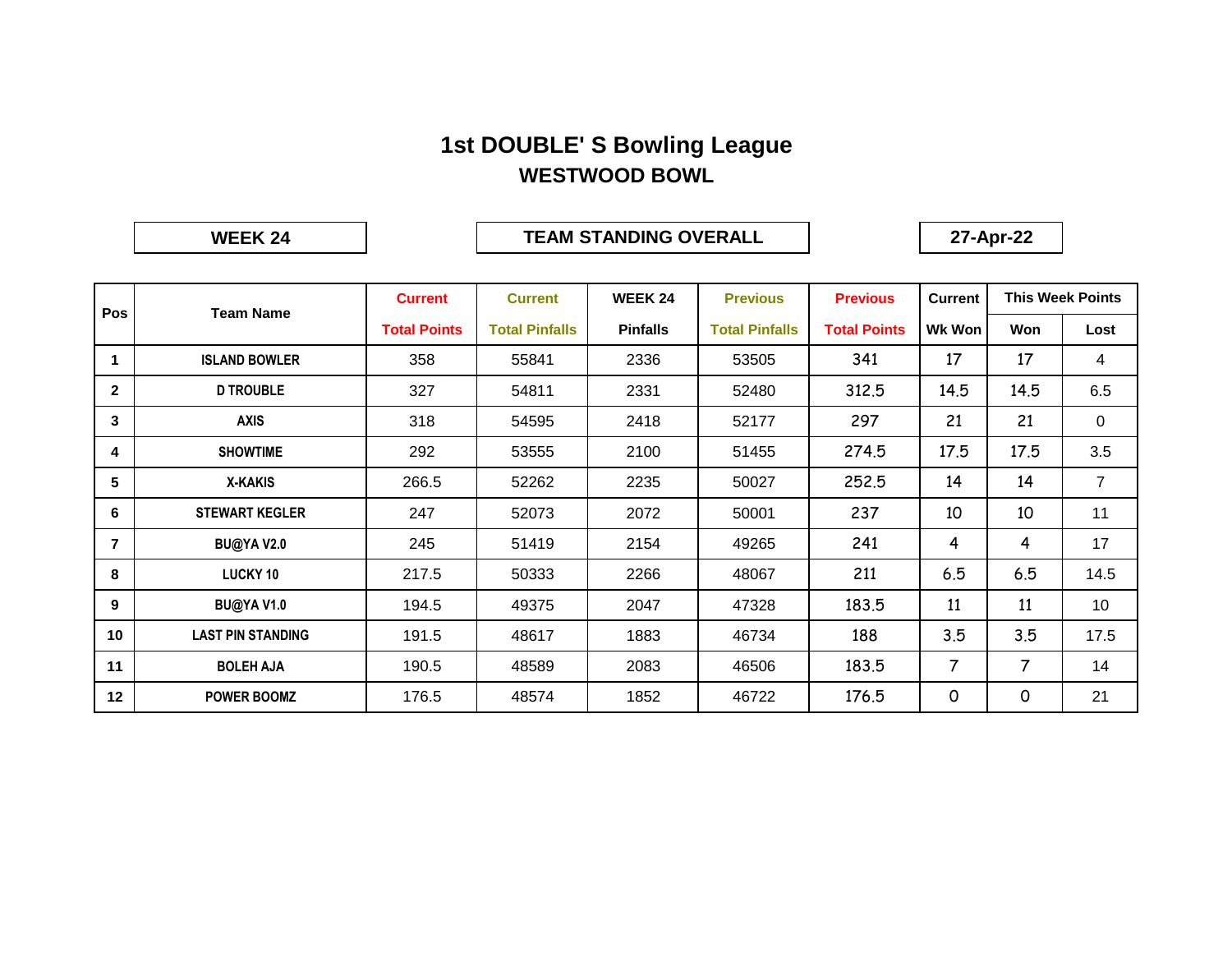#### **1st DOUBLE' S Bowling League WESTWOOD BOWL**

**WEEK 24**

#### **TEAM STANDING OVERALL 27-Apr-22**

|                | <b>Team Name</b>         | <b>Current</b>      | <b>Current</b>        | <b>WEEK 24</b>  | <b>Previous</b>       | <b>Previous</b>     | <b>Current</b> |                | <b>This Week Points</b> |
|----------------|--------------------------|---------------------|-----------------------|-----------------|-----------------------|---------------------|----------------|----------------|-------------------------|
| Pos            |                          | <b>Total Points</b> | <b>Total Pinfalls</b> | <b>Pinfalls</b> | <b>Total Pinfalls</b> | <b>Total Points</b> | Wk Won         | Won            | Lost                    |
| 1              | <b>ISLAND BOWLER</b>     | 358                 | 55841                 | 2336            | 53505                 | 341                 | 17             | 17             | 4                       |
| $\mathbf{2}$   | <b>D TROUBLE</b>         | 327                 | 54811                 | 2331            | 52480                 | 312.5               | 14.5           | 14.5           | 6.5                     |
| 3              | <b>AXIS</b>              | 318                 | 54595                 | 2418            | 52177                 | 297                 | 21             | 21             | $\mathbf 0$             |
| 4              | <b>SHOWTIME</b>          | 292                 | 53555                 | 2100            | 51455                 | 274.5               | 17.5           | 17.5           | 3.5                     |
| 5              | <b>X-KAKIS</b>           | 266.5               | 52262                 | 2235            | 50027                 | 252.5               | 14             | 14             | $\overline{7}$          |
| 6              | <b>STEWART KEGLER</b>    | 247                 | 52073                 | 2072            | 50001                 | 237                 | 10             | 10             | 11                      |
| $\overline{7}$ | <b>BU@YAV2.0</b>         | 245                 | 51419                 | 2154            | 49265                 | 241                 | 4              | 4              | 17                      |
| 8              | <b>LUCKY 10</b>          | 217.5               | 50333                 | 2266            | 48067                 | 211                 | 6.5            | 6.5            | 14.5                    |
| 9              | <b>BU@YAV1.0</b>         | 194.5               | 49375                 | 2047            | 47328                 | 183.5               | 11             | 11             | 10                      |
| 10             | <b>LAST PIN STANDING</b> | 191.5               | 48617                 | 1883            | 46734                 | 188                 | 3.5            | 3.5            | 17.5                    |
| 11             | <b>BOLEH AJA</b>         | 190.5               | 48589                 | 2083            | 46506                 | 183.5               | 7              | $\overline{7}$ | 14                      |
| 12             | <b>POWER BOOMZ</b>       | 176.5               | 48574                 | 1852            | 46722                 | 176.5               | 0              | 0              | 21                      |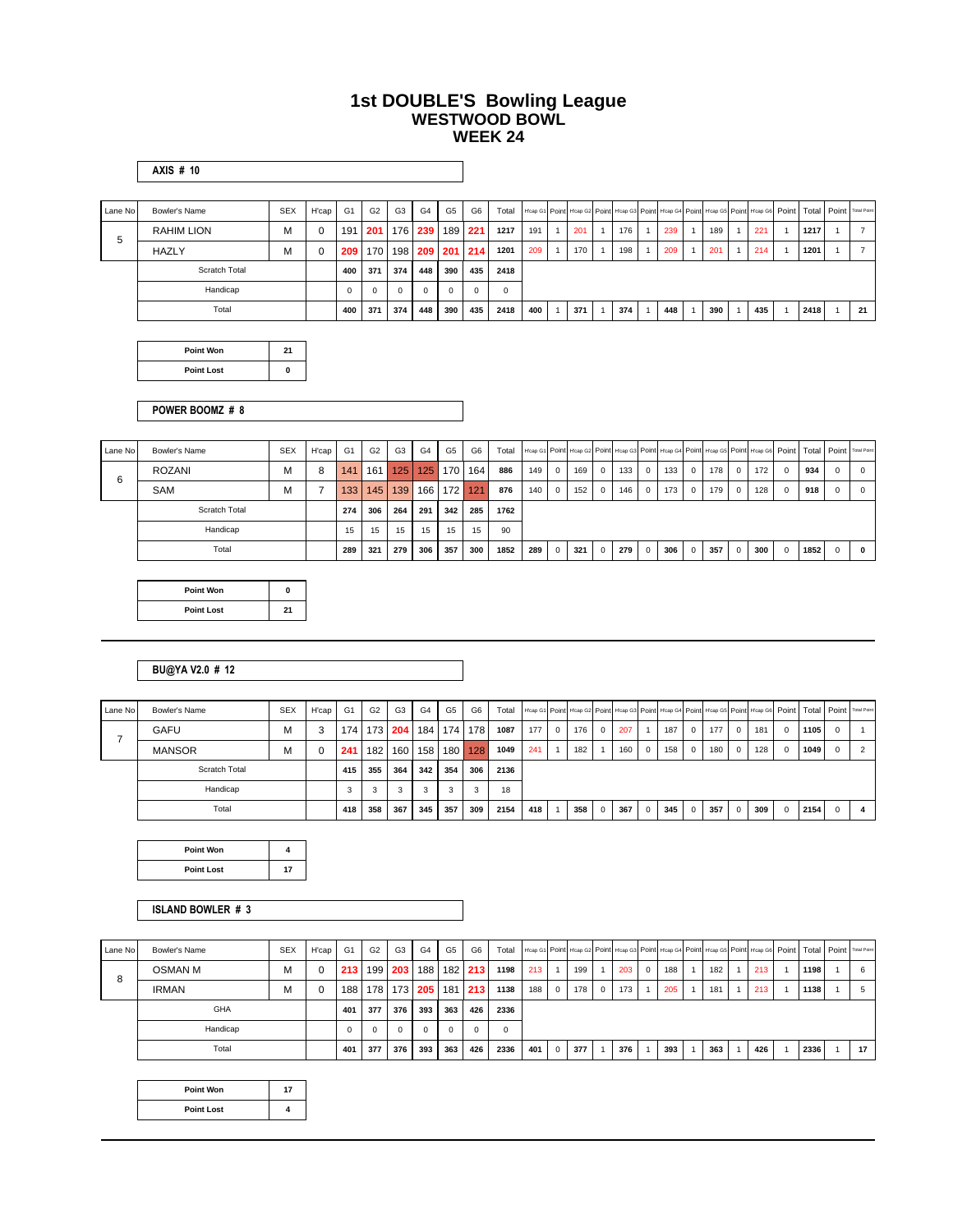#### **1st DOUBLE'S Bowling League WESTWOOD BOWL WEEK 24**

|  | \XIS |  | 'n |  |
|--|------|--|----|--|
|--|------|--|----|--|

| Lane No | Bowler's Name        | <b>SEX</b> | H'cap | G <sub>1</sub> | G <sub>2</sub>   | G <sub>3</sub> | G <sub>4</sub> | G <sub>5</sub> | G <sub>6</sub>  | Total    |     |     |     | H'cap G1 Point H'cap G2 Point H'cap G3 Point H'cap G4 Point H'cap G5 Point H'cap G6 Point Total Point Total Point |     |     |      |    |
|---------|----------------------|------------|-------|----------------|------------------|----------------|----------------|----------------|-----------------|----------|-----|-----|-----|-------------------------------------------------------------------------------------------------------------------|-----|-----|------|----|
| 5       | RAHIM LION           | м          |       | 191            | 201              | 176            | 239            | 189   221      |                 | 1217     | 191 | 201 | 176 | 239                                                                                                               | 189 | 221 | 1217 |    |
|         | HAZLY                | м          |       | 209            | 170 <sub>l</sub> |                |                |                | 198 209 201 214 | 1201     | 209 | 170 | 198 | 209                                                                                                               | 201 | 214 | 1201 |    |
|         | <b>Scratch Total</b> |            |       | 400            | 371              | 374            | 448            | 390            | 435             | 2418     |     |     |     |                                                                                                                   |     |     |      |    |
|         | Handicap             |            |       | $\Omega$       | $\Omega$         | $\Omega$       | $\Omega$       |                | $\Omega$        | $\Omega$ |     |     |     |                                                                                                                   |     |     |      |    |
|         | Total                |            |       | 400            | 371              | 374            | 448            | 390            | 435             | 2418     | 400 | 371 | 374 | 448                                                                                                               | 390 | 435 | 2418 | 21 |

| Point Won         | 21 |  |
|-------------------|----|--|
| <b>Point Lost</b> | ŋ  |  |

**POWER BOOMZ # 8**

| Lane No | Bowler's Name | <b>SEX</b> | H'cap | G1  | G <sub>2</sub> | G <sub>3</sub> | G <sub>4</sub> | G <sub>5</sub> | G <sub>6</sub> | Total |     |            |     |                |     |                |     |          |     |             |     |          |      |              | H'cap G1 Point H'cap G2 Point H'cap G3 Point H'cap G4 Point H'cap G5 Point H'cap G6 Point   Total   Point   Total Point |
|---------|---------------|------------|-------|-----|----------------|----------------|----------------|----------------|----------------|-------|-----|------------|-----|----------------|-----|----------------|-----|----------|-----|-------------|-----|----------|------|--------------|-------------------------------------------------------------------------------------------------------------------------|
| 6       | <b>ROZANI</b> | M          | 8     | 141 | 161            | 125            |                | 125 170        | 164            | 886   | 149 | $^{\circ}$ | 169 | $\overline{0}$ | 133 | $\overline{0}$ | 133 | $\Omega$ | 178 | $^{\circ}$  | 172 | $\Omega$ | 934  | $\mathbf{0}$ |                                                                                                                         |
|         | SAM           | м          |       | 133 | 145            | 139            | 166            | 172            | 121            | 876   | 140 | $^{\circ}$ | 152 | $\mathbf{0}$   | 146 | $^{\circ}$     | 173 | $\Omega$ | 179 | 0           | 128 | $\Omega$ | 918  | $\mathbf{0}$ |                                                                                                                         |
|         | Scratch Total |            |       | 274 | 306            | 264            | 291            | 342            | 285            | 1762  |     |            |     |                |     |                |     |          |     |             |     |          |      |              |                                                                                                                         |
|         | Handicap      |            |       | 15  | 15             | 15             | 15             | 15             | 15             | 90    |     |            |     |                |     |                |     |          |     |             |     |          |      |              |                                                                                                                         |
|         | Total         |            |       | 289 | 321            | 279            | 306            | 357            | 300            | 1852  | 289 | $\Omega$   | 321 | $\overline{0}$ | 279 | $\Omega$       | 306 | $\Omega$ | 357 | $\mathbf 0$ | 300 | $\Omega$ | 1852 | 0            | $\Omega$                                                                                                                |

| <b>Point Won</b>  | ŋ  |
|-------------------|----|
| <b>Point Lost</b> | 21 |

#### **BU@YA V2.0 # 12**

| Lane No | Bowler's Name | <b>SEX</b> | H'cap | G1    | G <sub>2</sub> | G <sub>3</sub> | G4  | G5          | G <sub>6</sub> | Total |     |          |     |            |     |            | H'cap G1 Point H'cap G2 Point H'cap G3 Point H'cap G4 Point H'cap G5 Point H'cap G6 Point   Total   Point   Total Point |              |     |                         |     |              |      |              |  |
|---------|---------------|------------|-------|-------|----------------|----------------|-----|-------------|----------------|-------|-----|----------|-----|------------|-----|------------|-------------------------------------------------------------------------------------------------------------------------|--------------|-----|-------------------------|-----|--------------|------|--------------|--|
|         | <b>GAFU</b>   | м          |       | 174 I |                | 173 204        |     | 184 174 178 |                | 1087  | 177 | $\Omega$ | 176 | $\Omega$   | 207 |            | 187                                                                                                                     | $\mathbf{0}$ | 177 | $\overline{0}$          | 181 | $\Omega$     | 1105 | $\Omega$     |  |
|         | <b>MANSOR</b> | м          |       | 241   | 182            | 160 l          |     | 158 180 128 |                | 1049  | 241 |          | 182 |            | 160 | $^{\circ}$ | 158                                                                                                                     | $\mathbf{0}$ | 180 | $\overline{\mathbf{0}}$ | 128 | $\mathbf{0}$ | 1049 | $\mathbf{0}$ |  |
|         | Scratch Total |            |       | 415   | 355            | 364            | 342 | 354         | 306            | 2136  |     |          |     |            |     |            |                                                                                                                         |              |     |                         |     |              |      |              |  |
|         | Handicap      |            |       |       | 3              |                |     |             | 3              | 18    |     |          |     |            |     |            |                                                                                                                         |              |     |                         |     |              |      |              |  |
|         | Total         |            |       | 418   | 358            | 367            | 345 | 357         | 309            | 2154  | 418 |          | 358 | $^{\circ}$ | 367 | $\Omega$   | 345                                                                                                                     | $\mathbf{0}$ | 357 | $\overline{0}$          | 309 | $\Omega$     | 2154 | $\mathbf{0}$ |  |

| Point Won         |    |
|-------------------|----|
| <b>Point Lost</b> | 17 |

#### **ISLAND BOWLER # 3**

| Lane No | Bowler's Name  | <b>SEX</b> | H'cap    | G <sub>1</sub> | G2               | G3               | G <sub>4</sub> | G <sub>5</sub> | G6       | Total |     |              |     |                         |     |            |     |     |     |      | H'cap G1 Point H'cap G2 Point H'cap G3 Point H'cap G4 Point H'cap G5 Point H'cap G6 Point   Total   Point   Total Point |
|---------|----------------|------------|----------|----------------|------------------|------------------|----------------|----------------|----------|-------|-----|--------------|-----|-------------------------|-----|------------|-----|-----|-----|------|-------------------------------------------------------------------------------------------------------------------------|
| 8       | <b>OSMAN M</b> | м          | $\Omega$ | 213            |                  | 199 203          | 188            |                | 182 213  | 1198  | 213 |              | 199 |                         | 203 | $^{\circ}$ | 188 | 182 | 213 | 1198 | 6                                                                                                                       |
|         | <b>IRMAN</b>   | м          | $\Omega$ | 188            | 178 <sup>1</sup> | 173 <sub>1</sub> | 205            |                | 181 213  | 1138  | 188 | $\mathbf{O}$ | 178 | $\overline{\mathbf{0}}$ | 173 |            | 205 | 181 | 213 | 1138 | 5                                                                                                                       |
|         | GHA            |            |          | 401            | 377              | 376              | 393            | 363            | 426      | 2336  |     |              |     |                         |     |            |     |     |     |      |                                                                                                                         |
|         | Handicap       |            |          | $\Omega$       | 0                |                  | $\Omega$       | $\Omega$       | $\Omega$ |       |     |              |     |                         |     |            |     |     |     |      |                                                                                                                         |
|         | Total          |            |          | 401            | 377              | 376              | 393            | 363            | 426      | 2336  | 401 | $\Omega$     | 377 |                         | 376 |            | 393 | 363 | 426 | 2336 | 17                                                                                                                      |

| <b>Point Won</b>  | 17 |
|-------------------|----|
| <b>Point Lost</b> |    |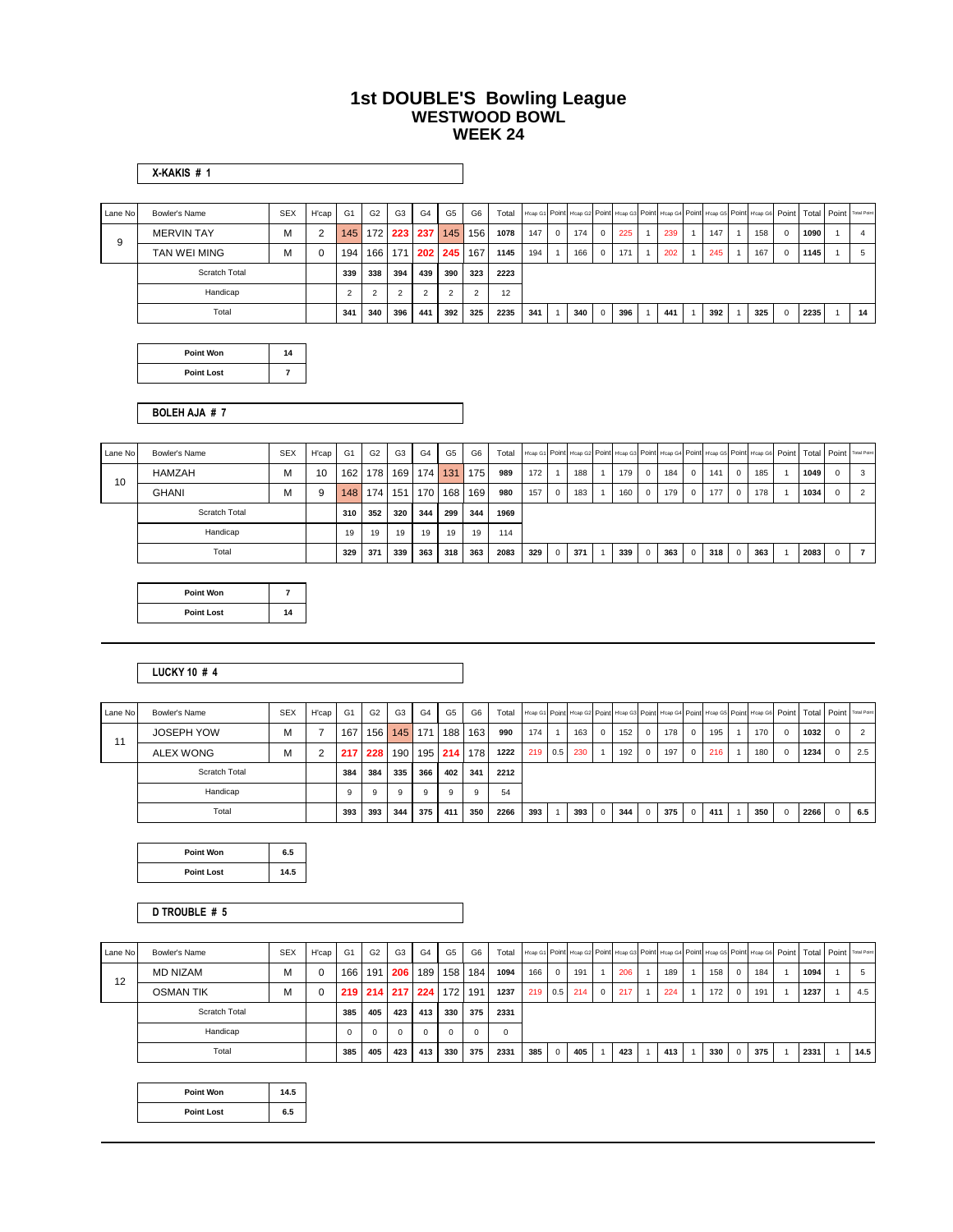#### **1st DOUBLE'S Bowling League WESTWOOD BOWL WEEK 24**

|         | X-KAKIS#1            |            |                |                  |                |                |                |                |                |       |     |             |     |              |     |     |     |                                                                                                                   |            |      |                |
|---------|----------------------|------------|----------------|------------------|----------------|----------------|----------------|----------------|----------------|-------|-----|-------------|-----|--------------|-----|-----|-----|-------------------------------------------------------------------------------------------------------------------|------------|------|----------------|
| Lane No | Bowler's Name        | <b>SEX</b> | H'cap          | G <sub>1</sub>   | G <sub>2</sub> | G <sub>3</sub> | G <sub>4</sub> | G <sub>5</sub> | G <sub>6</sub> | Total |     |             |     |              |     |     |     | H'cap G1 Point H'cap G2 Point H'cap G3 Point H'cap G4 Point H'cap G5 Point H'cap G6 Point Total Point Total Point |            |      |                |
|         | <b>MERVIN TAY</b>    | M          | $\overline{2}$ | 145              |                | 172 223        | 237            | 145            | 156            | 1078  | 147 | $\mathbf 0$ | 174 | $^{\circ}$   | 225 | 239 | 147 | 158                                                                                                               | $^{\circ}$ | 1090 | $\overline{4}$ |
| 9       | TAN WEI MING         | M          | $\mathbf 0$    | 194 <sub>1</sub> |                | 166 171        |                | 202 245        | 167            | 1145  | 194 |             | 166 | $\mathbf{0}$ | 171 | 202 | 245 | 167                                                                                                               | $^{\circ}$ | 1145 | 5              |
|         | <b>Scratch Total</b> |            |                | 339              | 338            | 394            | 439            | 390            | 323            | 2223  |     |             |     |              |     |     |     |                                                                                                                   |            |      |                |
|         | Handicap             |            |                | $\overline{2}$   | $\overline{2}$ | $\overline{2}$ | $\mathfrak{p}$ | $\overline{2}$ | $\overline{2}$ | 12    |     |             |     |              |     |     |     |                                                                                                                   |            |      |                |
|         | Total                |            |                | 341              | 340            | 396            | 441            | 392            | 325            | 2235  | 341 |             | 340 | $\Omega$     | 396 | 441 | 392 | 325                                                                                                               | $\Omega$   | 2235 | 14             |

| <b>Point Won</b>  | 14 |  |
|-------------------|----|--|
| <b>Point Lost</b> |    |  |

**BOLEH AJA # 7**

| Lane No | Bowler's Name | <b>SEX</b> | H'cap | G1  | G <sub>2</sub> | G <sub>3</sub> | G <sub>4</sub> | G <sub>5</sub> | G <sub>6</sub> | Total |     |   |     |     |              |     |            |     |             |     |      |   | Hosp G1 Point Hosp G2 Point Hosp G3 Point Hosp G4 Point Hosp G5 Point Hosp G6 Point   Total   Point   Total Point |
|---------|---------------|------------|-------|-----|----------------|----------------|----------------|----------------|----------------|-------|-----|---|-----|-----|--------------|-----|------------|-----|-------------|-----|------|---|-------------------------------------------------------------------------------------------------------------------|
| 10      | <b>HAMZAH</b> | М          | 10    | 162 | 178            | 169            | 174            | 131            | 175            | 989   | 172 |   | 188 | 179 | $^{\circ}$   | 184 | $\Omega$   | 141 | $\mathbf 0$ | 185 | 1049 | 0 | -3                                                                                                                |
|         | <b>GHANI</b>  | M          | 9     | 148 | 174            | 151            | 170            | 168            | 169            | 980   | 157 | 0 | 183 | 160 | $\mathbf{0}$ | 179 | $\Omega$   | 177 | $\mathbf 0$ | 178 | 1034 | 0 |                                                                                                                   |
|         | Scratch Total |            |       | 310 | 352            | 320            | 344            | 299            | 344            | 1969  |     |   |     |     |              |     |            |     |             |     |      |   |                                                                                                                   |
|         | Handicap      |            |       | 19  | 19             | 19             | 19             | 19             | 19             | 114   |     |   |     |     |              |     |            |     |             |     |      |   |                                                                                                                   |
|         | Total         |            |       | 329 | 371            | 339            | 363            | 318            | 363            | 2083  | 329 | 0 | 371 | 339 |              | 363 | $^{\circ}$ | 318 | $\Omega$    | 363 | 2083 | 0 |                                                                                                                   |

| Point Won         |    |
|-------------------|----|
| <b>Point Lost</b> | 14 |

#### **LUCKY 10 # 4**

| Lane No | Bowler's Name     | <b>SEX</b> | H'cap | G1  | G <sub>2</sub> | G <sub>3</sub> | G <sub>4</sub> | G5  | G <sub>6</sub> | Total |     |     |     |            |     |              |     |              |     | H'cap G1 Point H'cap G2 Point H'cap G3 Point H'cap G4 Point H'cap G5 Point H'cap G6 Point   Total   Point   Total Point |          |      |   |     |
|---------|-------------------|------------|-------|-----|----------------|----------------|----------------|-----|----------------|-------|-----|-----|-----|------------|-----|--------------|-----|--------------|-----|-------------------------------------------------------------------------------------------------------------------------|----------|------|---|-----|
| 11      | <b>JOSEPH YOW</b> | М          |       | 167 | 156            | 145            | 171            | 188 | 163            | 990   | 174 |     | 163 | $^{\circ}$ | 152 | $\mathbf{0}$ | 178 | $\Omega$     | 195 | 170                                                                                                                     | $\Omega$ | 1032 | 0 |     |
|         | <b>ALEX WONG</b>  | М          |       | 217 | 228            | 190            | 195            | 214 | 178            | 1222  | 219 | 0.5 | 230 |            | 192 | $\mathbf{0}$ | 197 | $\mathbf{0}$ | 216 | 180                                                                                                                     | $\Omega$ | 1234 |   | 2.5 |
|         | Scratch Total     |            |       | 384 | 384            | 335            | 366            | 402 | 341            | 2212  |     |     |     |            |     |              |     |              |     |                                                                                                                         |          |      |   |     |
|         | Handicap          |            |       | 9   | 9              | 9              |                | 9   | 9              | 54    |     |     |     |            |     |              |     |              |     |                                                                                                                         |          |      |   |     |
|         | Total             |            |       | 393 | 393            | 344            | 375            | 411 | 350            | 2266  | 393 |     | 393 | 0          | 344 | $^{\circ}$   | 375 | $\mathbf{0}$ | 411 | 350                                                                                                                     | $\Omega$ | 2266 |   | 6.5 |

| Point Won         | 6.5  |
|-------------------|------|
| <b>Point Lost</b> | 14.5 |

**D TROUBLE # 5**

| Lane No | Bowler's Name        | <b>SEX</b> | H'cap G1 |     | G <sub>2</sub> | G <sub>3</sub>          | G <sub>4</sub> | G5  | G6           | Total |     |          |           |                |             |     |     |            |     |      | H'cap G1 Point H'cap G2 Point H'cap G3 Point H'cap G4 Point H'cap G5 Point H'cap G6 Point   Total   Point   Total Point |
|---------|----------------------|------------|----------|-----|----------------|-------------------------|----------------|-----|--------------|-------|-----|----------|-----------|----------------|-------------|-----|-----|------------|-----|------|-------------------------------------------------------------------------------------------------------------------------|
| 12      | <b>MD NIZAM</b>      | м          | $\Omega$ | 166 | 191            | 206                     | 189            | 158 | 184          | 1094  | 166 | $\Omega$ | 191       |                | 206         | 189 | 158 | 0          | 184 | 1094 |                                                                                                                         |
|         | <b>OSMAN TIK</b>     | м          |          |     |                | 219 214 217 224 172 191 |                |     |              | 1237  | 219 |          | $0.5$ 214 | $\overline{0}$ | $\vert$ 217 | 224 | 172 | $^{\circ}$ | 191 | 1237 | 4.5                                                                                                                     |
|         | <b>Scratch Total</b> |            |          | 385 | 405            | 423                     | 413            | 330 | 375          | 2331  |     |          |           |                |             |     |     |            |     |      |                                                                                                                         |
|         | Handicap             |            |          |     | $\Omega$       | 0                       | $\Omega$       |     | $\mathbf{0}$ |       |     |          |           |                |             |     |     |            |     |      |                                                                                                                         |
|         | Total                |            |          | 385 | 405            | 423                     | 413            | 330 | 375          | 2331  | 385 | $\Omega$ | 405       |                | 423         | 413 | 330 | $\Omega$   | 375 | 2331 | 14.5                                                                                                                    |

| Point Won         | 14.5 |
|-------------------|------|
| <b>Point Lost</b> | 6.5  |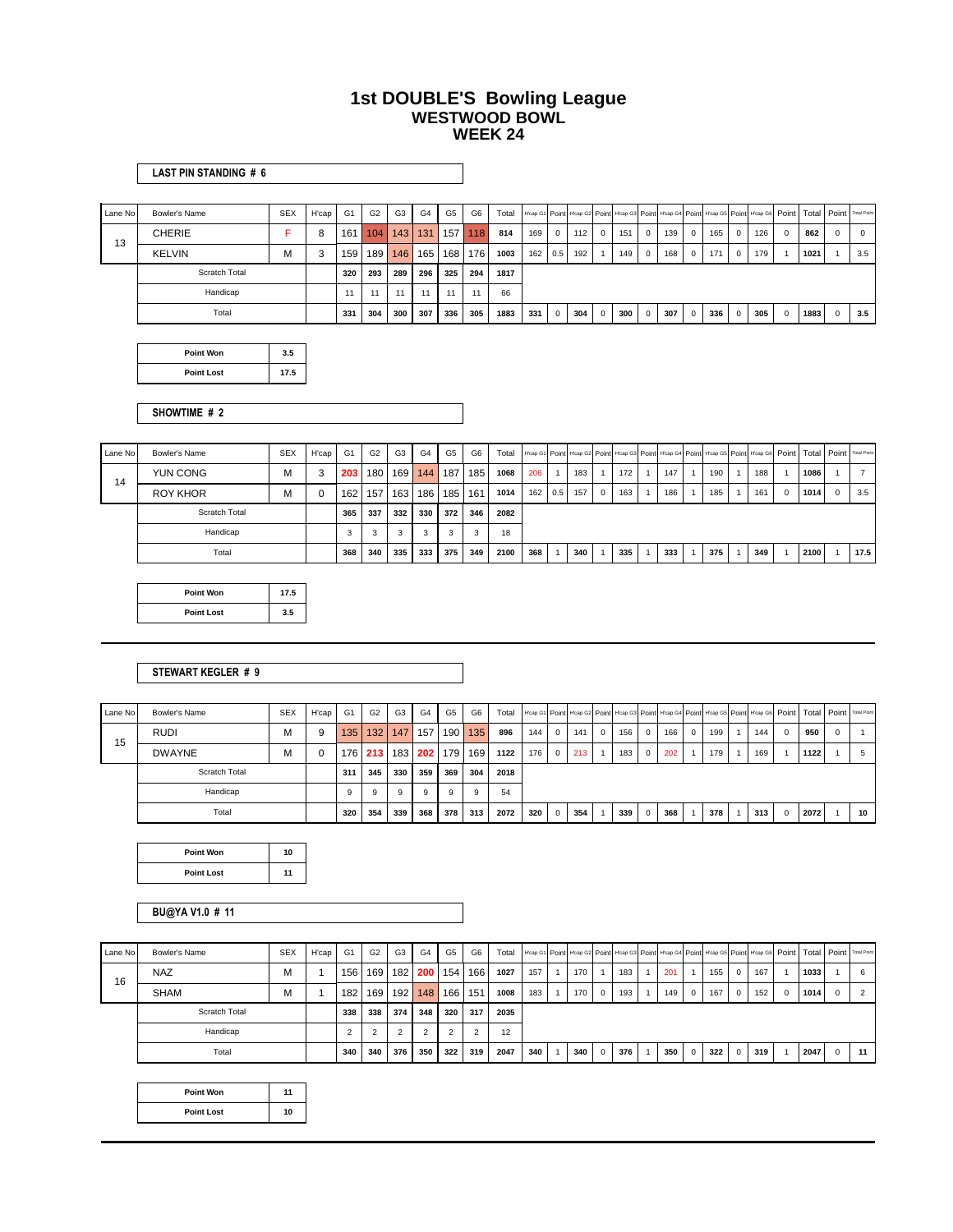#### **1st DOUBLE'S Bowling League WESTWOOD BOWL WEEK 24**

|         | LAST PIN STANDING # 6 |            |       |                |                |                |                |     |                |       |         |              |     |                |     |          |     |                |     |             |     |             |                                                                                                             |          |                |
|---------|-----------------------|------------|-------|----------------|----------------|----------------|----------------|-----|----------------|-------|---------|--------------|-----|----------------|-----|----------|-----|----------------|-----|-------------|-----|-------------|-------------------------------------------------------------------------------------------------------------|----------|----------------|
|         |                       |            |       |                |                |                |                |     |                |       |         |              |     |                |     |          |     |                |     |             |     |             |                                                                                                             |          |                |
| Lane No | Bowler's Name         | <b>SEX</b> | H'cap | G <sub>1</sub> | G <sub>2</sub> | G <sub>3</sub> | G <sub>4</sub> | G5  | G <sub>6</sub> | Total |         |              |     |                |     |          |     |                |     |             |     |             | Hosp G1 Point Heap G2 Point Heap G3 Point Heap G4 Point Heap G5 Point Heap G6 Point Total Point Total Point |          |                |
| 13      | <b>CHERIE</b>         |            | 8     | 161            | 104            | 143            | 131            | 157 | 118            | 814   | 169     | $\mathbf 0$  | 112 | $\Omega$       | 151 | $\Omega$ | 139 | $^{\circ}$     | 165 | $\Omega$    | 126 | $\Omega$    | 862                                                                                                         | O        | $\overline{0}$ |
|         | <b>KELVIN</b>         | M          | 3     | 159            | 189            | 146            | 165            | 168 | 176            | 1003  | 162 0.5 |              | 192 |                | 149 | $\circ$  | 168 | $\overline{0}$ | 171 | $^{\circ}$  | 179 |             | 1021                                                                                                        |          | 3.5            |
|         | <b>Scratch Total</b>  |            |       | 320            | 293            | 289            | 296            | 325 | 294            | 1817  |         |              |     |                |     |          |     |                |     |             |     |             |                                                                                                             |          |                |
|         | Handicap              |            |       | 11             | AA             |                | 11             | 11  | 11             | 66    |         |              |     |                |     |          |     |                |     |             |     |             |                                                                                                             |          |                |
|         | Total                 |            |       | 331            | 304            | 300            | 307            | 336 | 305            | 1883  | 331     | $\mathbf{0}$ | 304 | $\overline{0}$ | 300 | $\circ$  | 307 | $\Omega$       | 336 | $\mathbf 0$ | 305 | $\mathbf 0$ | 1883                                                                                                        | $\Omega$ | 3.5            |

| Point Won         | 35   |
|-------------------|------|
| <b>Point Lost</b> | 17.5 |

**SHOWTIME # 2**

| Lane No | Bowler's Name        | <b>SEX</b> | H'cap | G1  | G <sub>2</sub> | G <sub>3</sub> | G4  | G <sub>5</sub> | G6  | Total |              |     |                |     |     |     | H'cap G1 Point H'cap G2 Point H'cap G3 Point H'cap G4 Point H'cap G5 Point H'cap G6 Point   Total   Point   Total Point |          |      |      |
|---------|----------------------|------------|-------|-----|----------------|----------------|-----|----------------|-----|-------|--------------|-----|----------------|-----|-----|-----|-------------------------------------------------------------------------------------------------------------------------|----------|------|------|
| 14      | YUN CONG             | M          | 3     | 203 | 180            | 169            | 144 | 187 l          | 185 | 1068  | 206          | 183 |                | 172 | 147 | 190 | 188                                                                                                                     |          | 1086 |      |
|         | <b>ROY KHOR</b>      | M          | 0     | 162 | 157            | 163            | 186 | 185            | 161 | 1014  | $162 \t 0.5$ | 157 | $\overline{0}$ | 163 | 186 | 185 | 161                                                                                                                     | $\Omega$ | 1014 | 3.5  |
|         | <b>Scratch Total</b> |            |       | 365 | 337            | 332            | 330 | 372            | 346 | 2082  |              |     |                |     |     |     |                                                                                                                         |          |      |      |
|         | Handicap             |            |       |     |                |                | 3   | 3              | 3   | 18    |              |     |                |     |     |     |                                                                                                                         |          |      |      |
|         | Total                |            |       | 368 | 340            | 335            | 333 | 375            | 349 | 2100  | 368          | 340 |                | 335 | 333 | 375 | 349                                                                                                                     |          | 2100 | 17.5 |

| Point Won         | 17.5 |
|-------------------|------|
| <b>Point Lost</b> | 3.5  |

#### **STEWART KEGLER # 9**

| Lane No | Bowler's Name | <b>SEX</b> | H'cap | G <sub>1</sub> | G <sub>2</sub> | G <sub>3</sub> | G4  | G5              | G <sub>6</sub> | Total |     |          |     |             |     |          |     |              |     |     |          |      |            | H'cap G1 Point H'cap G2 Point H'cap G3 Point H'cap G4 Point H'cap G5 Point H'cap G6 Point   Total   Point   Total Point |
|---------|---------------|------------|-------|----------------|----------------|----------------|-----|-----------------|----------------|-------|-----|----------|-----|-------------|-----|----------|-----|--------------|-----|-----|----------|------|------------|-------------------------------------------------------------------------------------------------------------------------|
| 15      | <b>RUDI</b>   | М          |       | 135            | 132            | 147            | 157 |                 | 190 135        | 896   | 144 | $\Omega$ | 141 | $\mathbf 0$ | 156 | $\Omega$ | 166 | $\mathbf{0}$ | 199 | 144 | $\Omega$ | 950  | $^{\circ}$ |                                                                                                                         |
|         | <b>DWAYNE</b> | М          |       | 1761           |                |                |     | 213 183 202 179 | 169            | 1122  | 176 | $\Omega$ | 213 |             | 183 | $\Omega$ | 202 |              | 179 | 169 |          | 1122 |            |                                                                                                                         |
|         | Scratch Total |            |       | 311            | 345            | 330            | 359 | 369             | 304            | 2018  |     |          |     |             |     |          |     |              |     |     |          |      |            |                                                                                                                         |
|         | Handicap      |            |       | 9              | 9              | 9              | 9   |                 | 9              | 54    |     |          |     |             |     |          |     |              |     |     |          |      |            |                                                                                                                         |
|         | Total         |            |       | 320            | 354            | 339            | 368 | 378             | 313            | 2072  | 320 | $\Omega$ | 354 |             | 339 |          | 368 |              | 378 | 313 | $\Omega$ | 2072 |            | 10                                                                                                                      |

| <b>Point Won</b>  | 10 |
|-------------------|----|
| <b>Point Lost</b> | 11 |

**BU@YA V1.0 # 11**

| Lane No | Bowler's Name | <b>SEX</b> | H'cap | G <sub>1</sub> | G <sub>2</sub> | G <sub>3</sub> | G <sub>4</sub> | G5    | G6             | Total |     |     |              | H'cap G1 Point H'cap G2 Point H'cap G3 Point H'cap G4 Point H'cap G5 Point H'cap G6 Point   Total   Point   Total Point |     |                |     |   |     |      |            |    |
|---------|---------------|------------|-------|----------------|----------------|----------------|----------------|-------|----------------|-------|-----|-----|--------------|-------------------------------------------------------------------------------------------------------------------------|-----|----------------|-----|---|-----|------|------------|----|
| 16      | <b>NAZ</b>    | M          |       | 156            | 169            | 182            | 200            | 154   | 166            | 1027  | 157 | 170 |              | 183                                                                                                                     | 201 |                | 155 | 0 | 167 | 1033 |            | 6  |
|         | <b>SHAM</b>   | M          |       | 182            | 169            | 192            | 148            | 166   | 151            | 1008  | 183 | 170 | $\mathbf{0}$ | 193                                                                                                                     | 149 | $\overline{0}$ | 167 | 0 | 152 | 1014 | $^{\circ}$ |    |
|         | Scratch Total |            |       | 338            | 338            | 374            | 348            | 320 l | 317            | 2035  |     |     |              |                                                                                                                         |     |                |     |   |     |      |            |    |
|         | Handicap      |            |       |                |                |                |                |       | $\overline{2}$ | 12    |     |     |              |                                                                                                                         |     |                |     |   |     |      |            |    |
|         | Total         |            |       | 340            | 340            | 376            | 350            | 322   | 319            | 2047  | 340 | 340 | $\Omega$     | 376 l                                                                                                                   | 350 | $\Omega$       | 322 |   | 319 | 2047 | $\Omega$   | 11 |

| Point Won         | 11 |
|-------------------|----|
| <b>Point Lost</b> | 10 |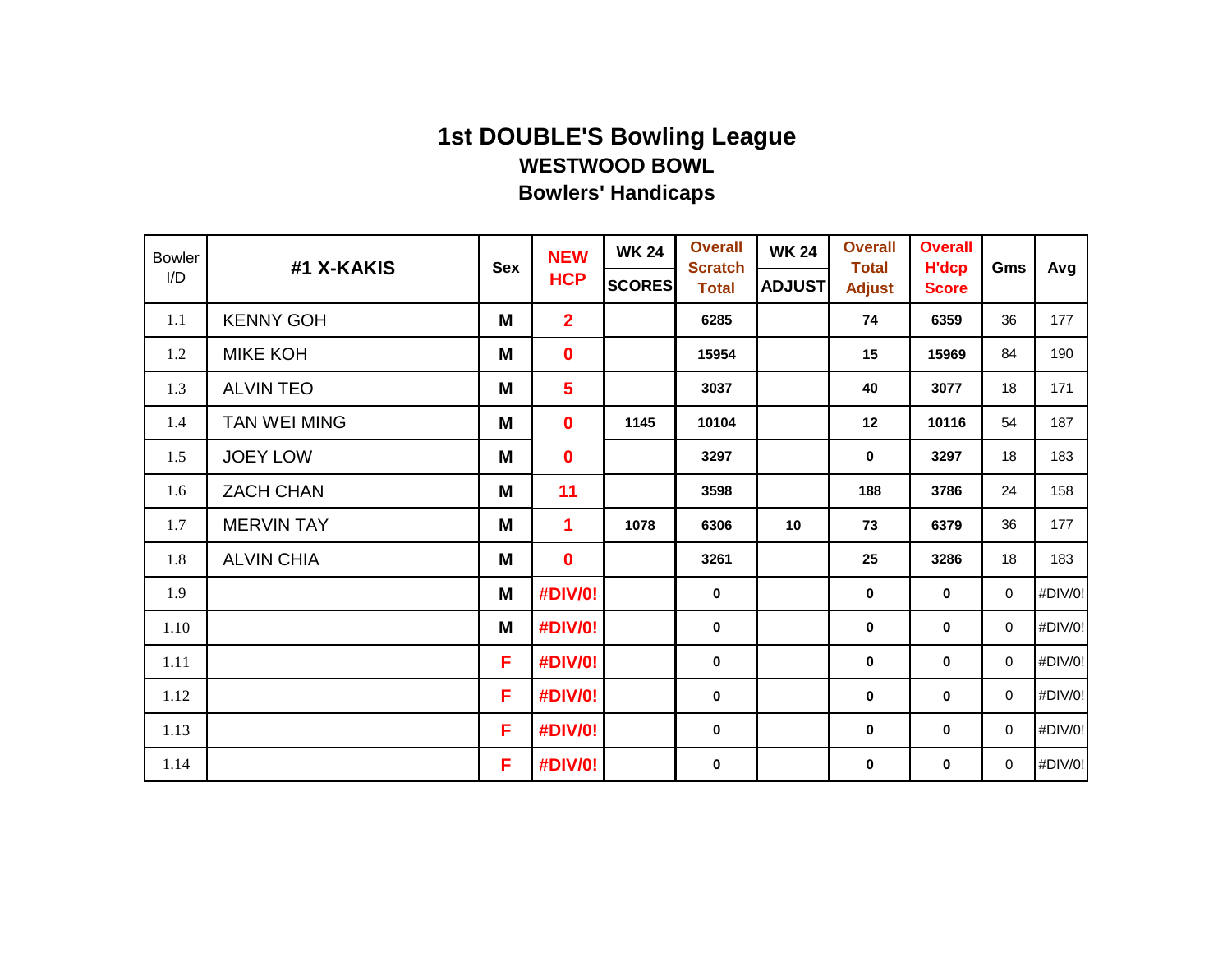| <b>Bowler</b><br>I/D | #1 X-KAKIS          | <b>Sex</b> | <b>NEW</b><br><b>HCP</b> | <b>WK 24</b><br><b>SCORES</b> | <b>Overall</b><br><b>Scratch</b><br><b>Total</b> | <b>WK 24</b><br><b>ADJUST</b> | <b>Overall</b><br><b>Total</b><br><b>Adjust</b> | <b>Overall</b><br><b>H'dcp</b><br><b>Score</b> | Gms         | Avg     |
|----------------------|---------------------|------------|--------------------------|-------------------------------|--------------------------------------------------|-------------------------------|-------------------------------------------------|------------------------------------------------|-------------|---------|
| 1.1                  | <b>KENNY GOH</b>    | M          | $\overline{2}$           |                               | 6285                                             |                               | 74                                              | 6359                                           | 36          | 177     |
| 1.2                  | <b>MIKE KOH</b>     | M          | $\mathbf 0$              |                               | 15954                                            |                               | 15                                              | 15969                                          | 84          | 190     |
| 1.3                  | <b>ALVIN TEO</b>    | M          | $5\phantom{a}$           |                               | 3037                                             |                               | 40                                              | 3077                                           | 18          | 171     |
| 1.4                  | <b>TAN WEI MING</b> | M          | $\mathbf 0$              | 1145                          | 10104                                            |                               | 12                                              | 10116                                          | 54          | 187     |
| 1.5                  | <b>JOEY LOW</b>     | M          | $\mathbf 0$              |                               | 3297                                             |                               | $\mathbf 0$                                     | 3297                                           | 18          | 183     |
| 1.6                  | <b>ZACH CHAN</b>    | M          | 11                       |                               | 3598                                             |                               | 188                                             | 3786                                           | 24          | 158     |
| 1.7                  | <b>MERVIN TAY</b>   | M          | $\overline{\mathbf{1}}$  | 1078                          | 6306                                             | 10                            | 73                                              | 6379                                           | 36          | 177     |
| 1.8                  | <b>ALVIN CHIA</b>   | M          | $\mathbf 0$              |                               | 3261                                             |                               | 25                                              | 3286                                           | 18          | 183     |
| 1.9                  |                     | M          | #DIV/0!                  |                               | $\mathbf 0$                                      |                               | $\mathbf 0$                                     | 0                                              | $\mathbf 0$ | #DIV/0! |
| 1.10                 |                     | M          | #DIV/0!                  |                               | $\mathbf 0$                                      |                               | $\mathbf 0$                                     | $\mathbf 0$                                    | $\mathbf 0$ | #DIV/0! |
| 1.11                 |                     | F.         | #DIV/0!                  |                               | $\mathbf 0$                                      |                               | $\mathbf 0$                                     | 0                                              | $\mathbf 0$ | #DIV/0! |
| 1.12                 |                     | F          | #DIV/0!                  |                               | $\mathbf 0$                                      |                               | $\pmb{0}$                                       | 0                                              | 0           | #DIV/0! |
| 1.13                 |                     | F          | #DIV/0!                  |                               | $\mathbf 0$                                      |                               | $\pmb{0}$                                       | $\mathbf 0$                                    | $\mathbf 0$ | #DIV/0! |
| 1.14                 |                     | F.         | #DIV/0!                  |                               | $\bf{0}$                                         |                               | $\mathbf 0$                                     | 0                                              | $\mathbf 0$ | #DIV/0! |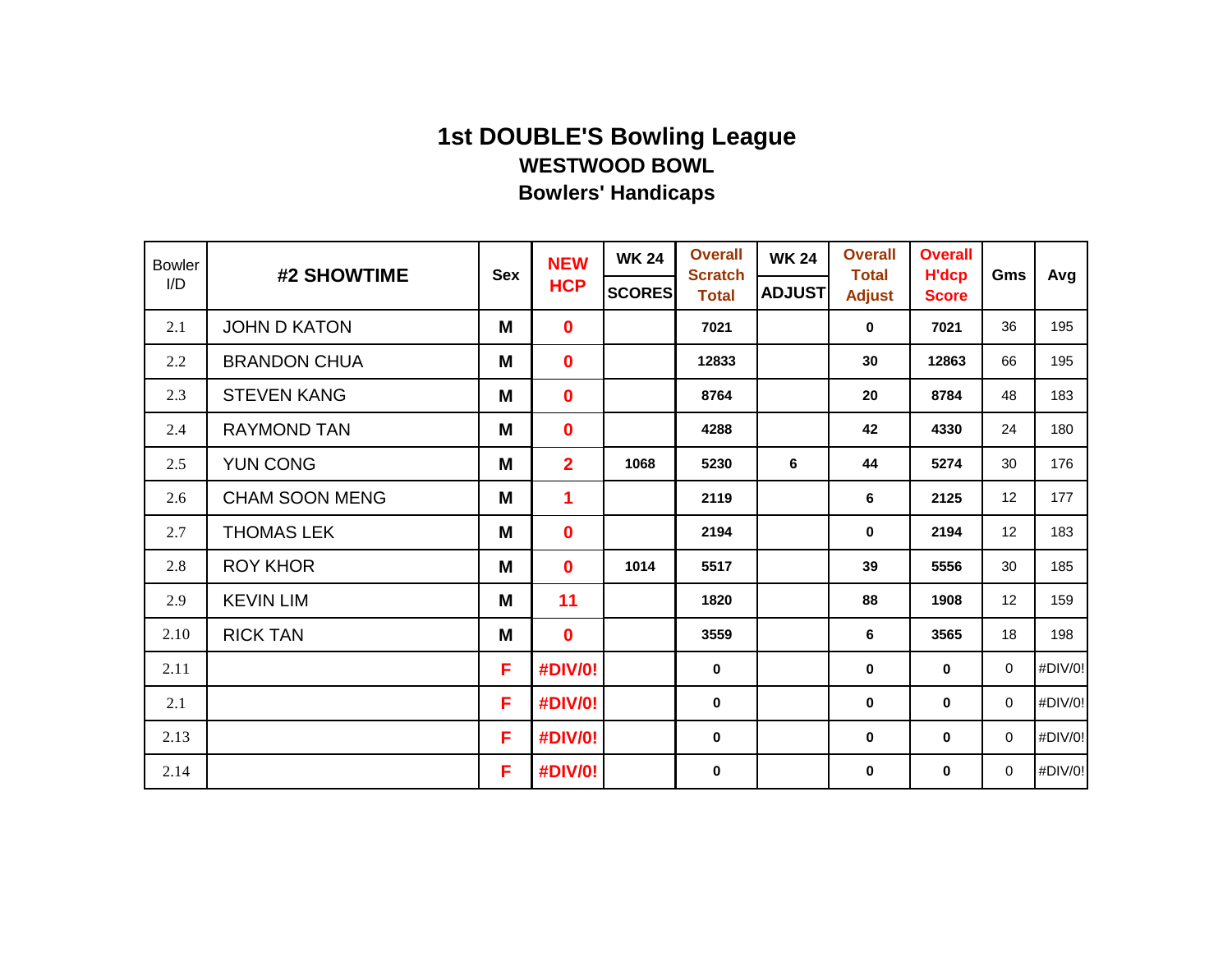| <b>Bowler</b><br>I/D | #2 SHOWTIME           | <b>Sex</b> | <b>NEW</b>     | <b>WK 24</b>  | <b>Overall</b><br><b>Scratch</b> | <b>WK 24</b>  | <b>Overall</b><br><b>Total</b> | <b>Overall</b><br><b>H'dcp</b> | Gms         | Avg     |
|----------------------|-----------------------|------------|----------------|---------------|----------------------------------|---------------|--------------------------------|--------------------------------|-------------|---------|
|                      |                       |            | <b>HCP</b>     | <b>SCORES</b> | <b>Total</b>                     | <b>ADJUST</b> | <b>Adjust</b>                  | <b>Score</b>                   |             |         |
| 2.1                  | <b>JOHN D KATON</b>   | M          | $\mathbf 0$    |               | 7021                             |               | $\mathbf 0$                    | 7021                           | 36          | 195     |
| 2.2                  | <b>BRANDON CHUA</b>   | M          | $\mathbf 0$    |               | 12833                            |               | 30                             | 12863                          | 66          | 195     |
| 2.3                  | <b>STEVEN KANG</b>    | M          | $\mathbf 0$    |               | 8764                             |               | 20                             | 8784                           | 48          | 183     |
| 2.4                  | <b>RAYMOND TAN</b>    | M          | $\mathbf 0$    |               | 4288                             |               | 42                             | 4330                           | 24          | 180     |
| 2.5                  | <b>YUN CONG</b>       | M          | $\overline{2}$ | 1068          | 5230                             | 6             | 44                             | 5274                           | 30          | 176     |
| 2.6                  | <b>CHAM SOON MENG</b> | M          | 1              |               | 2119                             |               | 6                              | 2125                           | 12          | 177     |
| 2.7                  | <b>THOMAS LEK</b>     | M          | $\mathbf 0$    |               | 2194                             |               | $\mathbf 0$                    | 2194                           | 12          | 183     |
| 2.8                  | <b>ROY KHOR</b>       | M          | $\mathbf 0$    | 1014          | 5517                             |               | 39                             | 5556                           | 30          | 185     |
| 2.9                  | <b>KEVIN LIM</b>      | M          | 11             |               | 1820                             |               | 88                             | 1908                           | 12          | 159     |
| 2.10                 | <b>RICK TAN</b>       | M          | $\mathbf 0$    |               | 3559                             |               | 6                              | 3565                           | 18          | 198     |
| 2.11                 |                       | F.         | #DIV/0!        |               | $\mathbf 0$                      |               | $\mathbf 0$                    | 0                              | $\mathbf 0$ | #DIV/0! |
| 2.1                  |                       | F          | #DIV/0!        |               | $\mathbf 0$                      |               | $\mathbf 0$                    | $\mathbf 0$                    | $\mathbf 0$ | #DIV/0! |
| 2.13                 |                       | F          | #DIV/0!        |               | $\mathbf 0$                      |               | $\pmb{0}$                      | $\mathbf 0$                    | $\mathbf 0$ | #DIV/0! |
| 2.14                 |                       | F.         | #DIV/0!        |               | $\mathbf 0$                      |               | $\mathbf 0$                    | 0                              | $\mathbf 0$ | #DIV/0! |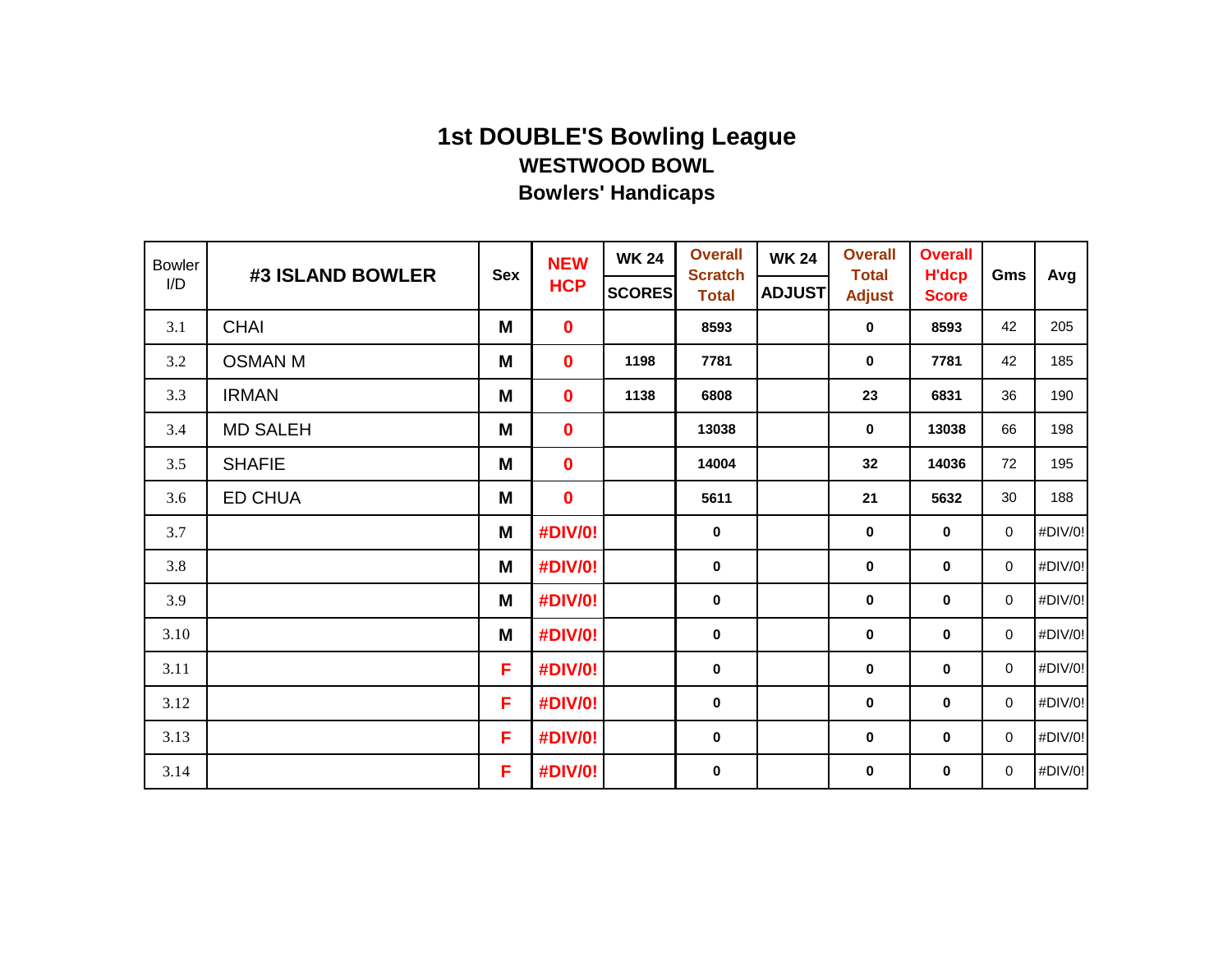| <b>Bowler</b> | #3 ISLAND BOWLER | <b>Sex</b> | <b>NEW</b>  | <b>WK 24</b>  | <b>Overall</b><br><b>Scratch</b> | <b>WK 24</b>  | <b>Overall</b><br><b>Total</b> | <b>Overall</b><br><b>H'dcp</b> | Gms         |         |
|---------------|------------------|------------|-------------|---------------|----------------------------------|---------------|--------------------------------|--------------------------------|-------------|---------|
| I/D           |                  |            | <b>HCP</b>  | <b>SCORES</b> | <b>Total</b>                     | <b>ADJUST</b> | <b>Adjust</b>                  | <b>Score</b>                   |             | Avg     |
| 3.1           | <b>CHAI</b>      | M          | $\mathbf 0$ |               | 8593                             |               | $\mathbf 0$                    | 8593                           | 42          | 205     |
| 3.2           | <b>OSMAN M</b>   | M          | $\mathbf 0$ | 1198          | 7781                             |               | $\mathbf 0$                    | 7781                           | 42          | 185     |
| 3.3           | <b>IRMAN</b>     | M          | $\mathbf 0$ | 1138          | 6808                             |               | 23                             | 6831                           | 36          | 190     |
| 3.4           | <b>MD SALEH</b>  | M          | $\mathbf 0$ |               | 13038                            |               | $\mathbf 0$                    | 13038                          | 66          | 198     |
| 3.5           | <b>SHAFIE</b>    | M          | $\mathbf 0$ |               | 14004                            |               | 32                             | 14036                          | 72          | 195     |
| 3.6           | <b>ED CHUA</b>   | M          | $\mathbf 0$ |               | 5611                             |               | 21                             | 5632                           | 30          | 188     |
| 3.7           |                  | M          | #DIV/0!     |               | $\mathbf 0$                      |               | $\mathbf 0$                    | $\mathbf 0$                    | $\mathbf 0$ | #DIV/0! |
| 3.8           |                  | M          | #DIV/0!     |               | $\bf{0}$                         |               | 0                              | 0                              | $\mathbf 0$ | #DIV/0! |
| 3.9           |                  | M          | #DIV/0!     |               | $\mathbf 0$                      |               | $\pmb{0}$                      | 0                              | $\mathbf 0$ | #DIV/0! |
| 3.10          |                  | M          | #DIV/0!     |               | $\mathbf 0$                      |               | $\mathbf 0$                    | $\mathbf 0$                    | $\mathbf 0$ | #DIV/0! |
| 3.11          |                  | F.         | #DIV/0!     |               | $\bf{0}$                         |               | $\mathbf 0$                    | $\mathbf 0$                    | $\mathbf 0$ | #DIV/0! |
| 3.12          |                  | F          | #DIV/0!     |               | $\mathbf 0$                      |               | $\pmb{0}$                      | 0                              | $\mathbf 0$ | #DIV/0! |
| 3.13          |                  | F          | #DIV/0!     |               | $\mathbf 0$                      |               | $\pmb{0}$                      | $\mathbf 0$                    | $\mathbf 0$ | #DIV/0! |
| 3.14          |                  | F.         | #DIV/0!     |               | $\mathbf 0$                      |               | $\mathbf 0$                    | 0                              | $\mathbf 0$ | #DIV/0! |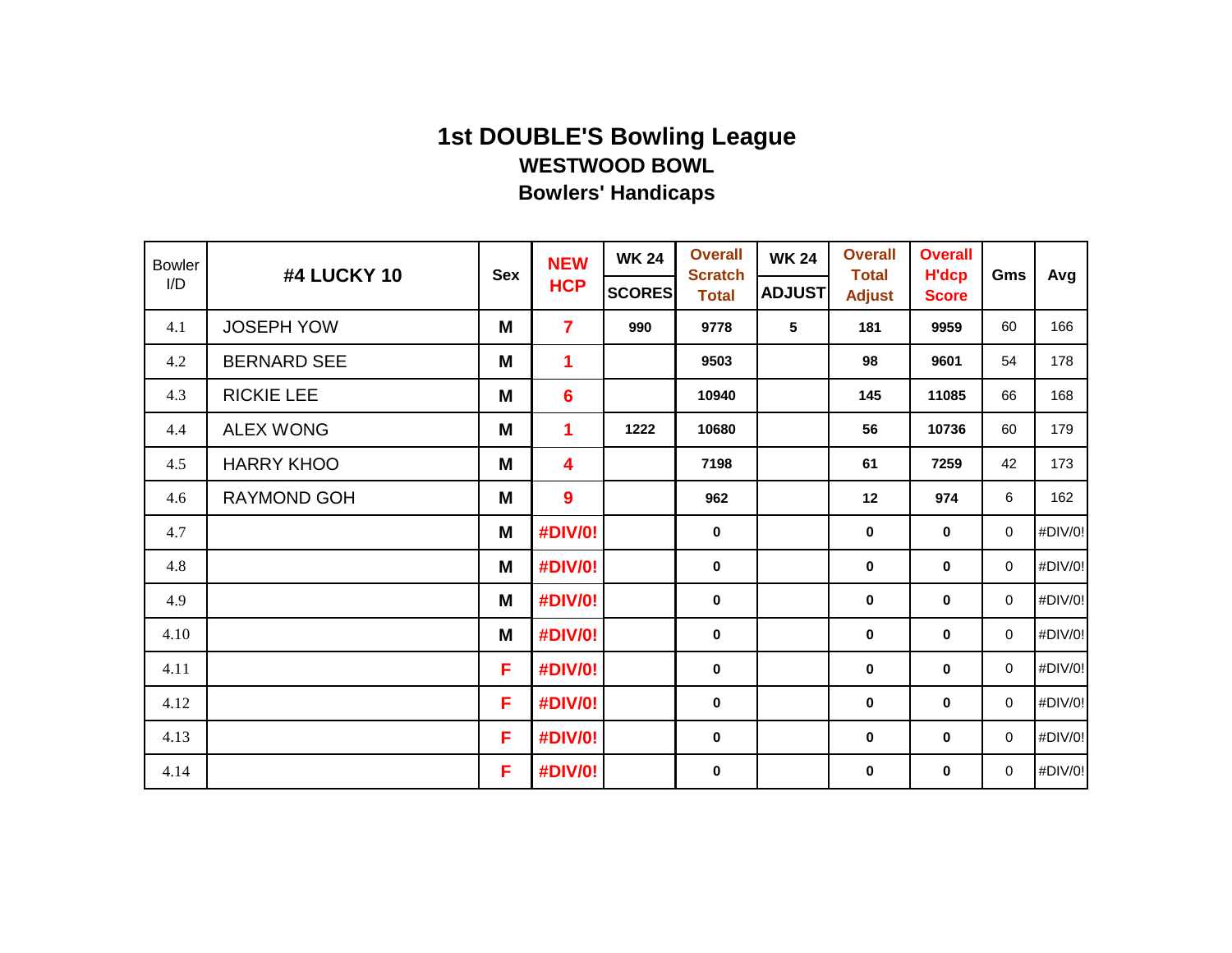| <b>Bowler</b><br>I/D | #4 LUCKY 10        | <b>Sex</b> | <b>NEW</b><br><b>HCP</b> | <b>WK 24</b><br><b>SCORES</b> | <b>Overall</b><br><b>Scratch</b> | <b>WK 24</b><br><b>ADJUST</b> | <b>Overall</b><br><b>Total</b> | <b>Overall</b><br><b>H'dcp</b> | Gms         | Avg     |
|----------------------|--------------------|------------|--------------------------|-------------------------------|----------------------------------|-------------------------------|--------------------------------|--------------------------------|-------------|---------|
|                      |                    |            |                          |                               | <b>Total</b>                     |                               | <b>Adjust</b>                  | <b>Score</b>                   |             |         |
| 4.1                  | <b>JOSEPH YOW</b>  | M          | $\overline{7}$           | 990                           | 9778                             | 5                             | 181                            | 9959                           | 60          | 166     |
| 4.2                  | <b>BERNARD SEE</b> | M          | $\mathbf 1$              |                               | 9503                             |                               | 98                             | 9601                           | 54          | 178     |
| 4.3                  | <b>RICKIE LEE</b>  | M          | $6\phantom{1}6$          |                               | 10940                            |                               | 145                            | 11085                          | 66          | 168     |
| 4.4                  | <b>ALEX WONG</b>   | M          | $\mathbf 1$              | 1222                          | 10680                            |                               | 56                             | 10736                          | 60          | 179     |
| 4.5                  | <b>HARRY KHOO</b>  | M          | 4                        |                               | 7198                             |                               | 61                             | 7259                           | 42          | 173     |
| 4.6                  | RAYMOND GOH        | M          | 9                        |                               | 962                              |                               | 12                             | 974                            | 6           | 162     |
| 4.7                  |                    | M          | #DIV/0!                  |                               | $\mathbf 0$                      |                               | $\mathbf 0$                    | 0                              | $\mathbf 0$ | #DIV/0! |
| 4.8                  |                    | M          | #DIV/0!                  |                               | $\mathbf 0$                      |                               | $\mathbf 0$                    | 0                              | $\mathbf 0$ | #DIV/0! |
| 4.9                  |                    | M          | #DIV/0!                  |                               | $\bf{0}$                         |                               | $\mathbf 0$                    | 0                              | 0           | #DIV/0! |
| 4.10                 |                    | M          | #DIV/0!                  |                               | $\mathbf 0$                      |                               | $\pmb{0}$                      | 0                              | $\mathbf 0$ | #DIV/0! |
| 4.11                 |                    | F.         | #DIV/0!                  |                               | $\mathbf 0$                      |                               | $\mathbf 0$                    | 0                              | $\mathbf 0$ | #DIV/0! |
| 4.12                 |                    | F          | #DIV/0!                  |                               | $\mathbf 0$                      |                               | $\pmb{0}$                      | 0                              | $\mathbf 0$ | #DIV/0! |
| 4.13                 |                    | F          | #DIV/0!                  |                               | $\mathbf 0$                      |                               | $\pmb{0}$                      | $\mathbf 0$                    | $\mathbf 0$ | #DIV/0! |
| 4.14                 |                    | F.         | #DIV/0!                  |                               | $\mathbf 0$                      |                               | $\mathbf 0$                    | 0                              | $\mathbf 0$ | #DIV/0! |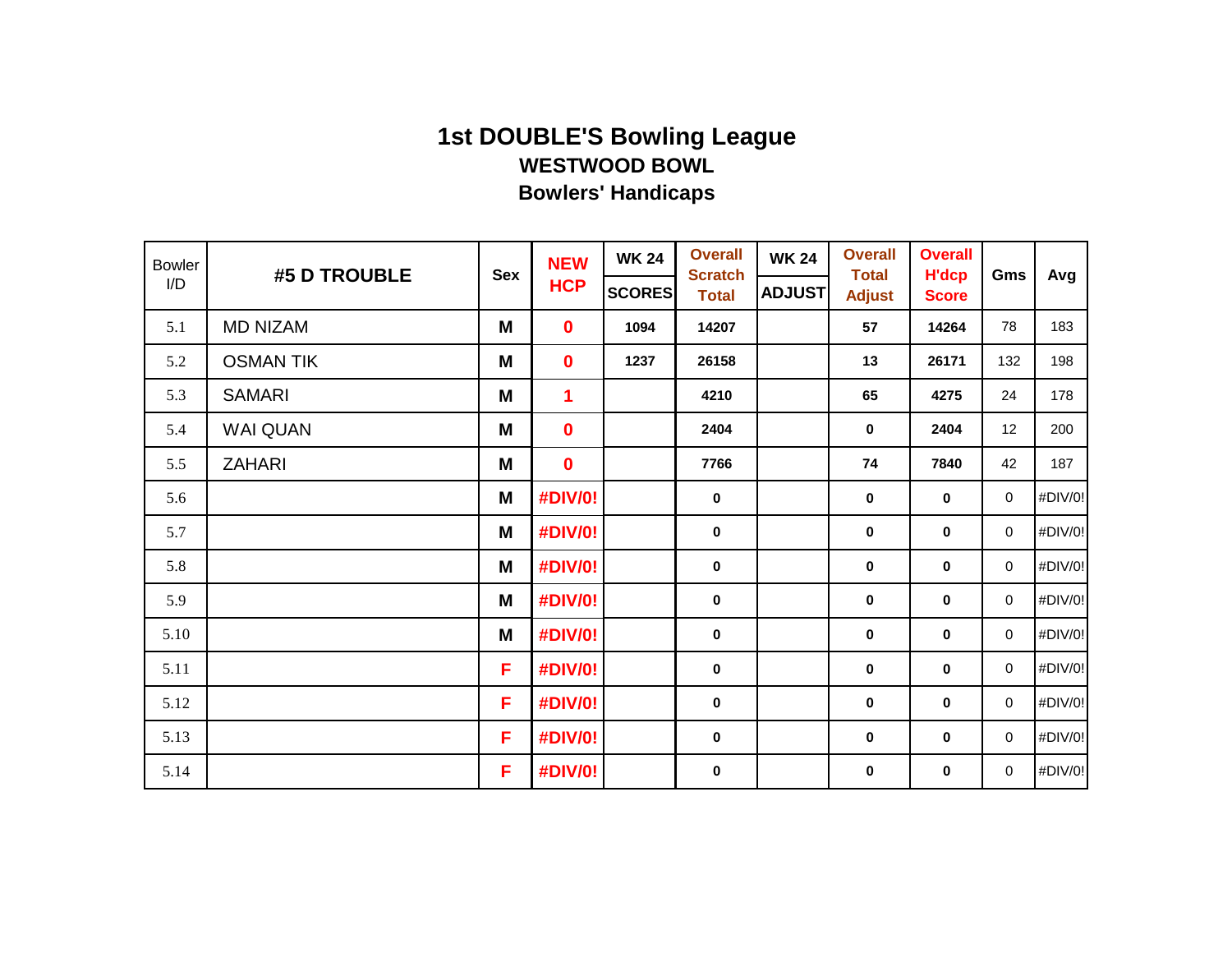| <b>Bowler</b> | #5 D TROUBLE     |            | <b>NEW</b>     | <b>WK 24</b>  | <b>Overall</b>                 | <b>WK 24</b>  | <b>Overall</b>                | <b>Overall</b>               |             |         |
|---------------|------------------|------------|----------------|---------------|--------------------------------|---------------|-------------------------------|------------------------------|-------------|---------|
| I/D           |                  | <b>Sex</b> | <b>HCP</b>     | <b>SCORES</b> | <b>Scratch</b><br><b>Total</b> | <b>ADJUST</b> | <b>Total</b><br><b>Adjust</b> | <b>H'dcp</b><br><b>Score</b> | Gms         | Avg     |
| 5.1           | <b>MD NIZAM</b>  | M          | $\mathbf 0$    | 1094          | 14207                          |               | 57                            | 14264                        | 78          | 183     |
| 5.2           | <b>OSMAN TIK</b> | M          | $\mathbf 0$    | 1237          | 26158                          |               | 13                            | 26171                        | 132         | 198     |
| 5.3           | <b>SAMARI</b>    | M          | $\mathbf 1$    |               | 4210                           |               | 65                            | 4275                         | 24          | 178     |
| 5.4           | <b>WAI QUAN</b>  | M          | $\mathbf 0$    |               | 2404                           |               | $\bf{0}$                      | 2404                         | 12          | 200     |
| 5.5           | <b>ZAHARI</b>    | M          | $\mathbf 0$    |               | 7766                           |               | 74                            | 7840                         | 42          | 187     |
| 5.6           |                  | M          | #DIV/0!        |               | $\mathbf 0$                    |               | $\bf{0}$                      | $\mathbf 0$                  | $\mathbf 0$ | #DIV/0! |
| 5.7           |                  | M          | <b>#DIV/0!</b> |               | $\mathbf 0$                    |               | 0                             | $\mathbf 0$                  | 0           | #DIV/0! |
| 5.8           |                  | M          | #DIV/0!        |               | $\bf{0}$                       |               | 0                             | 0                            | $\mathbf 0$ | #DIV/0! |
| 5.9           |                  | M          | #DIV/0!        |               | $\mathbf 0$                    |               | 0                             | 0                            | $\mathbf 0$ | #DIV/0! |
| 5.10          |                  | M          | <b>#DIV/0!</b> |               | $\mathbf 0$                    |               | 0                             | $\mathbf 0$                  | $\mathbf 0$ | #DIV/0! |
| 5.11          |                  | F          | #DIV/0!        |               | $\bf{0}$                       |               | 0                             | 0                            | $\mathbf 0$ | #DIV/0! |
| 5.12          |                  | F          | #DIV/0!        |               | $\mathbf 0$                    |               | 0                             | 0                            | $\mathbf 0$ | #DIV/0! |
| 5.13          |                  | F          | <b>#DIV/0!</b> |               | $\mathbf 0$                    |               | 0                             | 0                            | $\mathbf 0$ | #DIV/0! |
| 5.14          |                  | F          | #DIV/0!        |               | $\mathbf 0$                    |               | 0                             | 0                            | $\mathbf 0$ | #DIV/0! |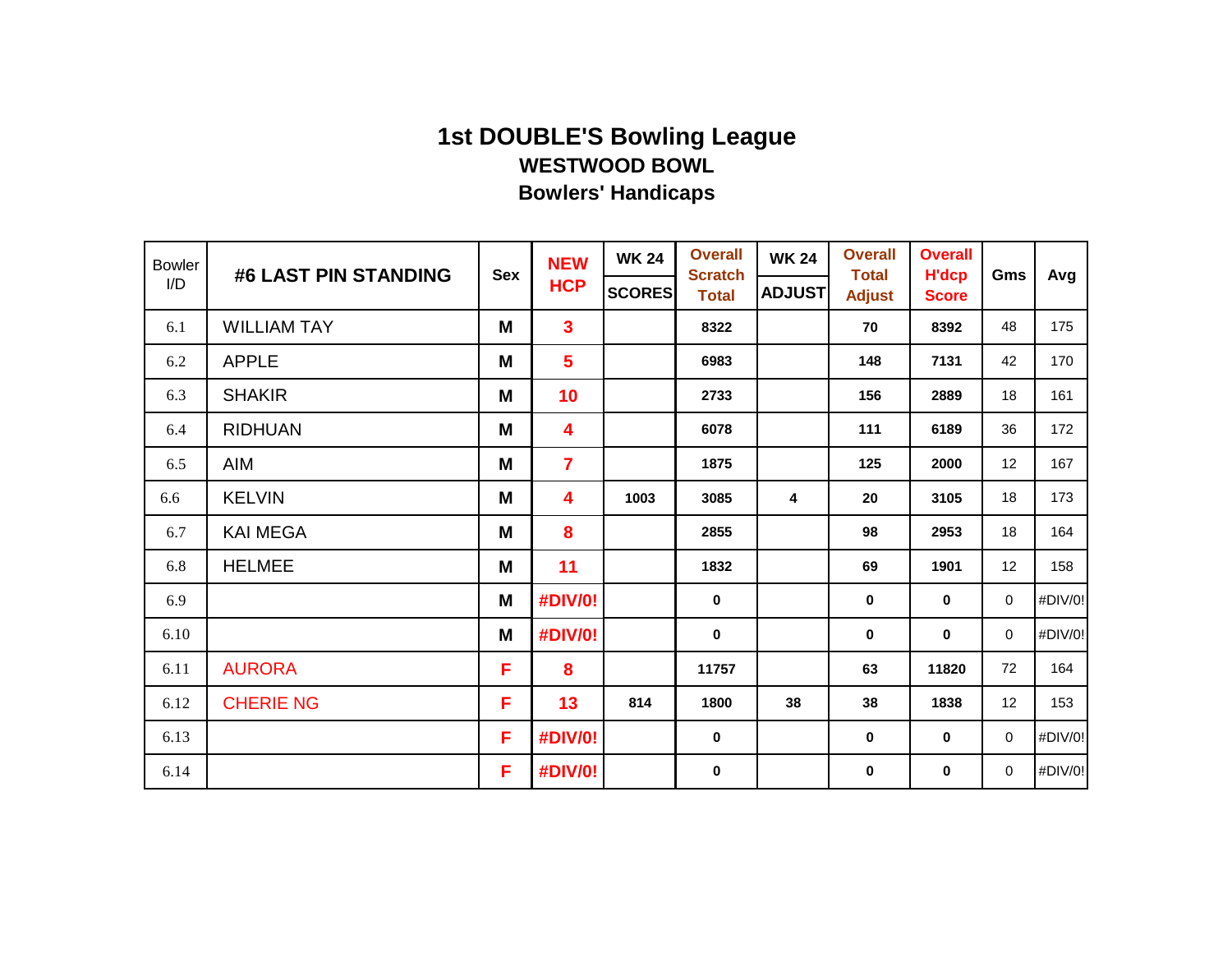| <b>Bowler</b><br>I/D | #6 LAST PIN STANDING | <b>Sex</b> | <b>NEW</b><br><b>HCP</b> | <b>WK 24</b><br><b>SCORES</b> | <b>Overall</b><br><b>Scratch</b><br><b>Total</b> | <b>WK 24</b><br><b>ADJUST</b> | <b>Overall</b><br><b>Total</b><br><b>Adjust</b> | <b>Overall</b><br><b>H'dcp</b><br><b>Score</b> | Gms         | Avg     |
|----------------------|----------------------|------------|--------------------------|-------------------------------|--------------------------------------------------|-------------------------------|-------------------------------------------------|------------------------------------------------|-------------|---------|
| 6.1                  | <b>WILLIAM TAY</b>   | M          | $\mathbf{3}$             |                               | 8322                                             |                               | 70                                              | 8392                                           | 48          | 175     |
| 6.2                  | <b>APPLE</b>         | M          | $5\phantom{a}$           |                               | 6983                                             |                               | 148                                             | 7131                                           | 42          | 170     |
| 6.3                  | <b>SHAKIR</b>        | M          | 10                       |                               | 2733                                             |                               | 156                                             | 2889                                           | 18          | 161     |
| 6.4                  | <b>RIDHUAN</b>       | M          | $\overline{\mathbf{4}}$  |                               | 6078                                             |                               | 111                                             | 6189                                           | 36          | 172     |
| 6.5                  | AIM                  | M          | $\overline{7}$           |                               | 1875                                             |                               | 125                                             | 2000                                           | 12          | 167     |
| 6.6                  | <b>KELVIN</b>        | M          | 4                        | 1003                          | 3085                                             | 4                             | 20                                              | 3105                                           | 18          | 173     |
| 6.7                  | <b>KAI MEGA</b>      | M          | 8                        |                               | 2855                                             |                               | 98                                              | 2953                                           | 18          | 164     |
| 6.8                  | <b>HELMEE</b>        | M          | 11                       |                               | 1832                                             |                               | 69                                              | 1901                                           | 12          | 158     |
| 6.9                  |                      | M          | #DIV/0!                  |                               | 0                                                |                               | 0                                               | $\mathbf 0$                                    | $\mathbf 0$ | #DIV/0! |
| 6.10                 |                      | M          | #DIV/0!                  |                               | $\bf{0}$                                         |                               | 0                                               | $\bf{0}$                                       | 0           | #DIV/0! |
| 6.11                 | <b>AURORA</b>        | F          | 8                        |                               | 11757                                            |                               | 63                                              | 11820                                          | 72          | 164     |
| 6.12                 | <b>CHERIE NG</b>     | F          | 13                       | 814                           | 1800                                             | 38                            | 38                                              | 1838                                           | 12          | 153     |
| 6.13                 |                      | F          | #DIV/0!                  |                               | $\bf{0}$                                         |                               | $\mathbf 0$                                     | $\bf{0}$                                       | 0           | #DIV/0! |
| 6.14                 |                      | F          | #DIV/0!                  |                               | $\bf{0}$                                         |                               | 0                                               | $\mathbf 0$                                    | $\mathbf 0$ | #DIV/0! |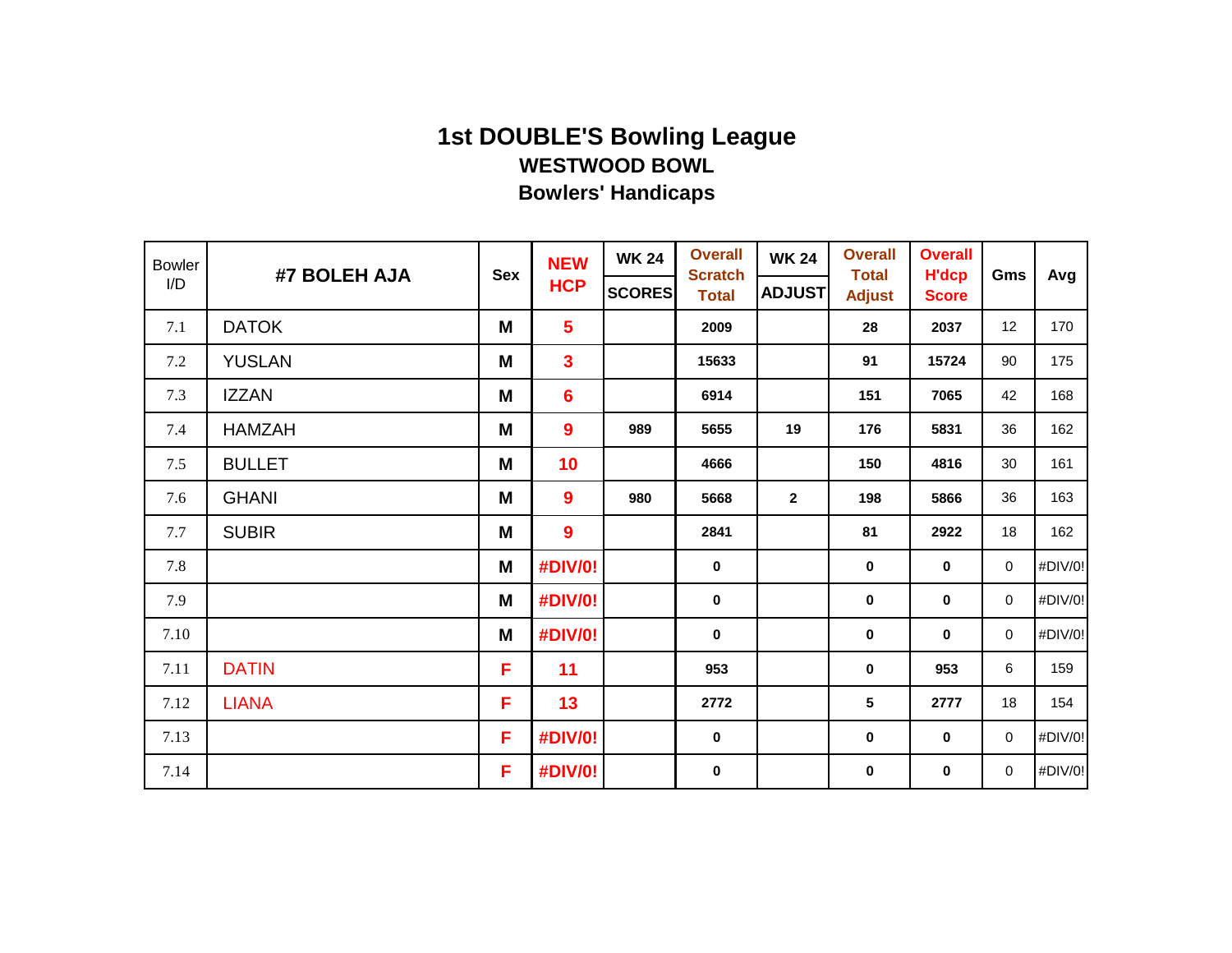| <b>Bowler</b> | #7 BOLEH AJA  | <b>Sex</b> | <b>NEW</b>       | <b>WK 24</b>  | <b>Overall</b><br><b>Scratch</b> | <b>WK 24</b>  | <b>Overall</b><br><b>Total</b> | <b>Overall</b><br><b>H'dcp</b> | Gms         | Avg     |
|---------------|---------------|------------|------------------|---------------|----------------------------------|---------------|--------------------------------|--------------------------------|-------------|---------|
| I/D           |               |            | <b>HCP</b>       | <b>SCORES</b> | <b>Total</b>                     | <b>ADJUST</b> | <b>Adjust</b>                  | <b>Score</b>                   |             |         |
| 7.1           | <b>DATOK</b>  | M          | $5\phantom{a}$   |               | 2009                             |               | 28                             | 2037                           | 12          | 170     |
| 7.2           | <b>YUSLAN</b> | M          | $\mathbf{3}$     |               | 15633                            |               | 91                             | 15724                          | 90          | 175     |
| 7.3           | <b>IZZAN</b>  | M          | $6\phantom{1}6$  |               | 6914                             |               | 151                            | 7065                           | 42          | 168     |
| 7.4           | <b>HAMZAH</b> | M          | $\boldsymbol{9}$ | 989           | 5655                             | 19            | 176                            | 5831                           | 36          | 162     |
| 7.5           | <b>BULLET</b> | M          | 10               |               | 4666                             |               | 150                            | 4816                           | 30          | 161     |
| 7.6           | <b>GHANI</b>  | M          | 9                | 980           | 5668                             | $\mathbf{2}$  | 198                            | 5866                           | 36          | 163     |
| 7.7           | <b>SUBIR</b>  | M          | $\boldsymbol{9}$ |               | 2841                             |               | 81                             | 2922                           | 18          | 162     |
| 7.8           |               | M          | #DIV/0!          |               | $\mathbf 0$                      |               | $\mathbf 0$                    | $\mathbf 0$                    | $\mathbf 0$ | #DIV/0! |
| 7.9           |               | M          | #DIV/0!          |               | $\pmb{0}$                        |               | 0                              | $\bf{0}$                       | $\mathbf 0$ | #DIV/0! |
| 7.10          |               | M          | #DIV/0!          |               | $\pmb{0}$                        |               | $\pmb{0}$                      | $\mathbf 0$                    | 0           | #DIV/0! |
| 7.11          | <b>DATIN</b>  | F          | 11               |               | 953                              |               | 0                              | 953                            | 6           | 159     |
| 7.12          | <b>LIANA</b>  | F          | 13               |               | 2772                             |               | 5                              | 2777                           | 18          | 154     |
| 7.13          |               | F.         | #DIV/0!          |               | $\mathbf 0$                      |               | $\pmb{0}$                      | $\mathbf 0$                    | 0           | #DIV/0! |
| 7.14          |               | F.         | #DIV/0!          |               | $\bf{0}$                         |               | 0                              | $\bf{0}$                       | 0           | #DIV/0! |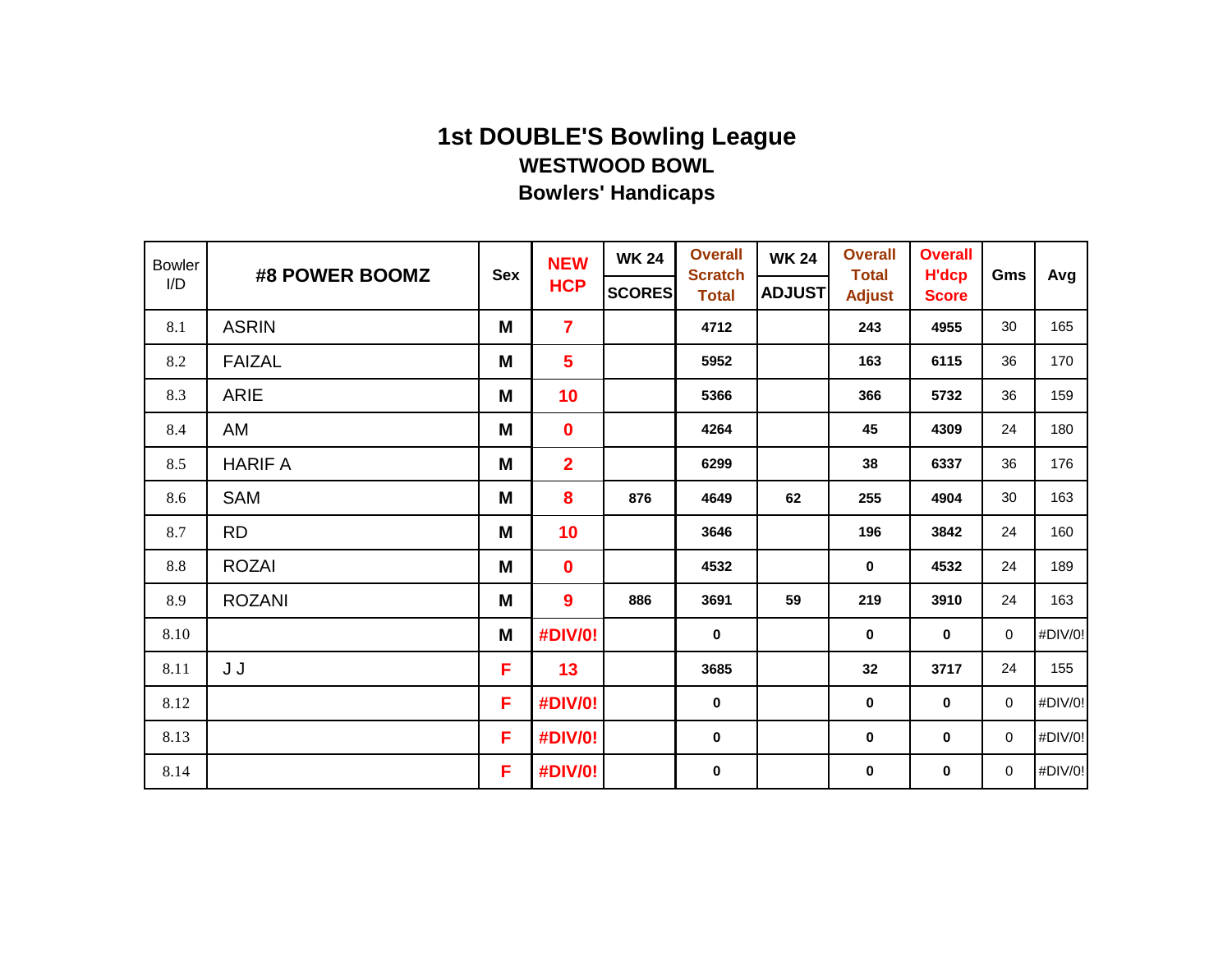| <b>Bowler</b> | #8 POWER BOOMZ | <b>Sex</b> | <b>NEW</b>      | <b>WK 24</b>  | <b>Overall</b><br><b>Scratch</b> | <b>WK 24</b>  | <b>Overall</b><br><b>Total</b> | <b>Overall</b><br><b>H'dcp</b> | Gms         | Avg     |
|---------------|----------------|------------|-----------------|---------------|----------------------------------|---------------|--------------------------------|--------------------------------|-------------|---------|
| I/D           |                |            | <b>HCP</b>      | <b>SCORES</b> | <b>Total</b>                     | <b>ADJUST</b> | <b>Adjust</b>                  | <b>Score</b>                   |             |         |
| 8.1           | <b>ASRIN</b>   | M          | $\overline{7}$  |               | 4712                             |               | 243                            | 4955                           | 30          | 165     |
| 8.2           | <b>FAIZAL</b>  | M          | $5\phantom{a}$  |               | 5952                             |               | 163                            | 6115                           | 36          | 170     |
| 8.3           | ARIE           | M          | 10              |               | 5366                             |               | 366                            | 5732                           | 36          | 159     |
| 8.4           | AM             | M          | $\mathbf 0$     |               | 4264                             |               | 45                             | 4309                           | 24          | 180     |
| 8.5           | <b>HARIF A</b> | M          | $\overline{2}$  |               | 6299                             |               | 38                             | 6337                           | 36          | 176     |
| 8.6           | SAM            | M          | 8               | 876           | 4649                             | 62            | 255                            | 4904                           | 30          | 163     |
| 8.7           | <b>RD</b>      | M          | 10 <sub>1</sub> |               | 3646                             |               | 196                            | 3842                           | 24          | 160     |
| 8.8           | <b>ROZAI</b>   | M          | $\mathbf 0$     |               | 4532                             |               | $\mathbf 0$                    | 4532                           | 24          | 189     |
| 8.9           | <b>ROZANI</b>  | M          | 9               | 886           | 3691                             | 59            | 219                            | 3910                           | 24          | 163     |
| 8.10          |                | M          | #DIV/0!         |               | $\mathbf 0$                      |               | $\mathbf 0$                    | $\mathbf 0$                    | $\mathbf 0$ | #DIV/0! |
| 8.11          | J J            | F          | 13              |               | 3685                             |               | 32                             | 3717                           | 24          | 155     |
| 8.12          |                | F          | #DIV/0!         |               | $\bf{0}$                         |               | 0                              | 0                              | $\mathbf 0$ | #DIV/0! |
| 8.13          |                | F.         | #DIV/0!         |               | $\mathbf 0$                      |               | $\pmb{0}$                      | $\pmb{0}$                      | $\mathbf 0$ | #DIV/0! |
| 8.14          |                | F.         | #DIV/0!         |               | $\pmb{0}$                        |               | $\pmb{0}$                      | 0                              | $\mathbf 0$ | #DIV/0! |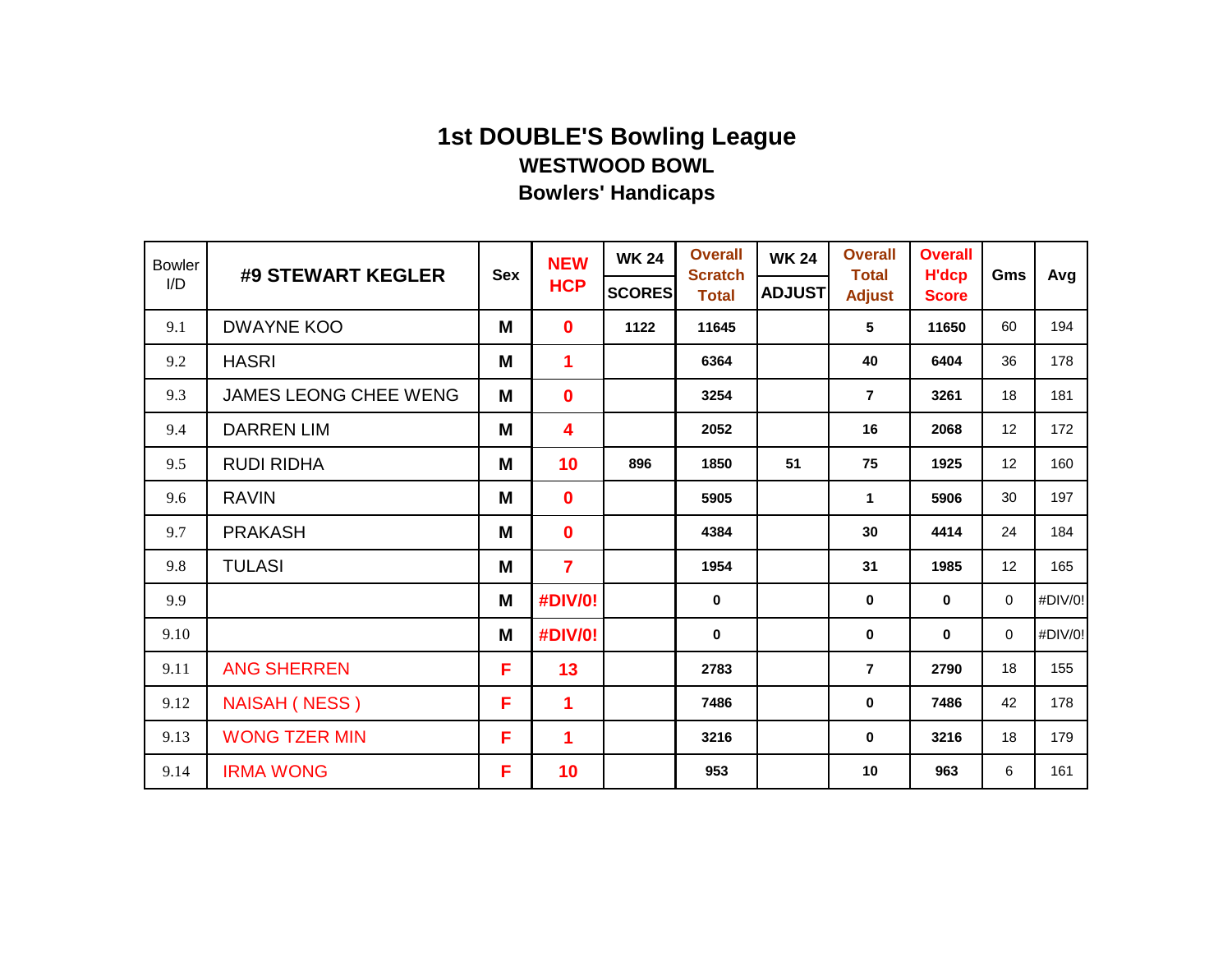| <b>Bowler</b> | #9 STEWART KEGLER     | <b>Sex</b> | <b>NEW</b>     | <b>WK 24</b>  | <b>Overall</b><br><b>Scratch</b> | <b>WK 24</b>  | <b>Overall</b><br><b>Total</b> | <b>Overall</b><br><b>H'dcp</b> | Gms         | Avg     |
|---------------|-----------------------|------------|----------------|---------------|----------------------------------|---------------|--------------------------------|--------------------------------|-------------|---------|
| I/D           |                       |            | <b>HCP</b>     | <b>SCORES</b> | <b>Total</b>                     | <b>ADJUST</b> | <b>Adjust</b>                  | <b>Score</b>                   |             |         |
| 9.1           | <b>DWAYNE KOO</b>     | M          | $\mathbf 0$    | 1122          | 11645                            |               | 5                              | 11650                          | 60          | 194     |
| 9.2           | <b>HASRI</b>          | M          | $\mathbf 1$    |               | 6364                             |               | 40                             | 6404                           | 36          | 178     |
| 9.3           | JAMES LEONG CHEE WENG | M          | $\mathbf 0$    |               | 3254                             |               | $\overline{7}$                 | 3261                           | 18          | 181     |
| 9.4           | <b>DARREN LIM</b>     | M          | 4              |               | 2052                             |               | 16                             | 2068                           | 12          | 172     |
| 9.5           | <b>RUDI RIDHA</b>     | M          | 10             | 896           | 1850                             | 51            | 75                             | 1925                           | 12          | 160     |
| 9.6           | <b>RAVIN</b>          | M          | $\mathbf 0$    |               | 5905                             |               | $\mathbf{1}$                   | 5906                           | 30          | 197     |
| 9.7           | <b>PRAKASH</b>        | M          | $\mathbf 0$    |               | 4384                             |               | 30                             | 4414                           | 24          | 184     |
| 9.8           | <b>TULASI</b>         | M          | $\overline{7}$ |               | 1954                             |               | 31                             | 1985                           | 12          | 165     |
| 9.9           |                       | M          | #DIV/0!        |               | $\mathbf 0$                      |               | $\mathbf 0$                    | $\mathbf 0$                    | $\mathbf 0$ | #DIV/0! |
| 9.10          |                       | M          | #DIV/0!        |               | $\mathbf 0$                      |               | $\pmb{0}$                      | 0                              | $\mathbf 0$ | #DIV/0! |
| 9.11          | <b>ANG SHERREN</b>    | F          | 13             |               | 2783                             |               | $\overline{7}$                 | 2790                           | 18          | 155     |
| 9.12          | <b>NAISAH (NESS)</b>  | F          | 1              |               | 7486                             |               | $\mathbf 0$                    | 7486                           | 42          | 178     |
| 9.13          | <b>WONG TZER MIN</b>  | F          | 1              |               | 3216                             |               | $\pmb{0}$                      | 3216                           | 18          | 179     |
| 9.14          | <b>IRMA WONG</b>      | F          | 10             |               | 953                              |               | 10                             | 963                            | 6           | 161     |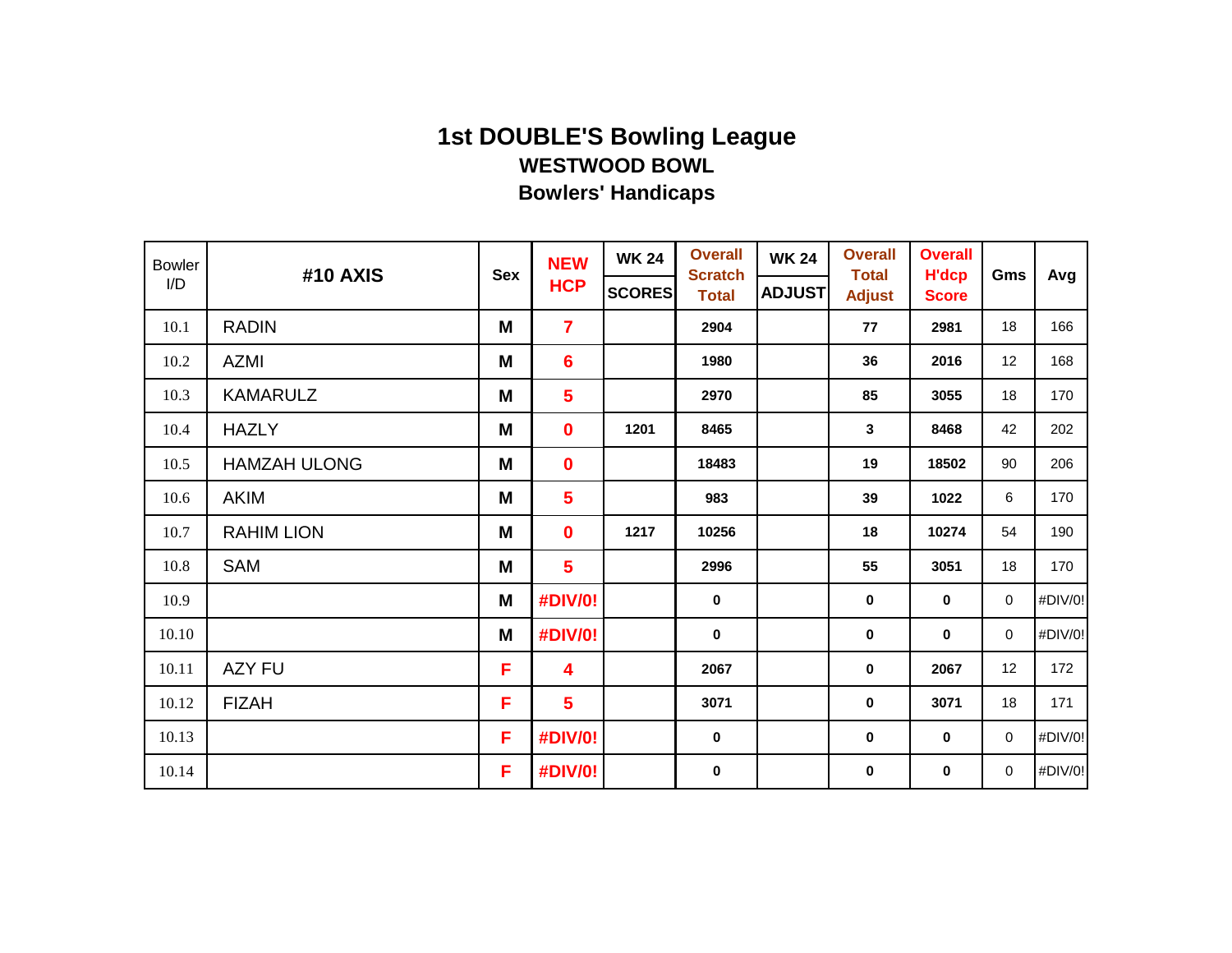| <b>Bowler</b> | #10 AXIS            | <b>Sex</b> | <b>NEW</b>      | <b>WK 24</b>  | <b>Overall</b><br><b>Scratch</b> | <b>WK 24</b>  | <b>Overall</b><br><b>Total</b> | <b>Overall</b><br><b>H'dcp</b> | Gms         | Avg     |
|---------------|---------------------|------------|-----------------|---------------|----------------------------------|---------------|--------------------------------|--------------------------------|-------------|---------|
| I/D           |                     |            | <b>HCP</b>      | <b>SCORES</b> | <b>Total</b>                     | <b>ADJUST</b> | <b>Adjust</b>                  | <b>Score</b>                   |             |         |
| 10.1          | <b>RADIN</b>        | M          | $\overline{7}$  |               | 2904                             |               | 77                             | 2981                           | 18          | 166     |
| 10.2          | <b>AZMI</b>         | M          | $6\phantom{1}6$ |               | 1980                             |               | 36                             | 2016                           | 12          | 168     |
| 10.3          | <b>KAMARULZ</b>     | M          | $5\phantom{a}$  |               | 2970                             |               | 85                             | 3055                           | 18          | 170     |
| 10.4          | <b>HAZLY</b>        | M          | $\mathbf 0$     | 1201          | 8465                             |               | 3                              | 8468                           | 42          | 202     |
| 10.5          | <b>HAMZAH ULONG</b> | M          | $\mathbf 0$     |               | 18483                            |               | 19                             | 18502                          | 90          | 206     |
| 10.6          | <b>AKIM</b>         | M          | $5\phantom{a}$  |               | 983                              |               | 39                             | 1022                           | $\,6\,$     | 170     |
| 10.7          | <b>RAHIM LION</b>   | M          | $\mathbf 0$     | 1217          | 10256                            |               | 18                             | 10274                          | 54          | 190     |
| 10.8          | <b>SAM</b>          | M          | $5\phantom{a}$  |               | 2996                             |               | 55                             | 3051                           | 18          | 170     |
| 10.9          |                     | M          | #DIV/0!         |               | $\bf{0}$                         |               | $\pmb{0}$                      | 0                              | $\mathbf 0$ | #DIV/0! |
| 10.10         |                     | M          | #DIV/0!         |               | $\mathbf 0$                      |               | $\pmb{0}$                      | 0                              | $\mathbf 0$ | #DIV/0! |
| 10.11         | <b>AZY FU</b>       | F          | 4               |               | 2067                             |               | $\pmb{0}$                      | 2067                           | 12          | 172     |
| 10.12         | <b>FIZAH</b>        | F          | $5\phantom{a}$  |               | 3071                             |               | 0                              | 3071                           | 18          | 171     |
| 10.13         |                     | F          | #DIV/0!         |               | $\mathbf 0$                      |               | $\pmb{0}$                      | $\pmb{0}$                      | $\mathbf 0$ | #DIV/0! |
| 10.14         |                     | F          | #DIV/0!         |               | $\mathbf 0$                      |               | $\pmb{0}$                      | 0                              | $\mathbf 0$ | #DIV/0! |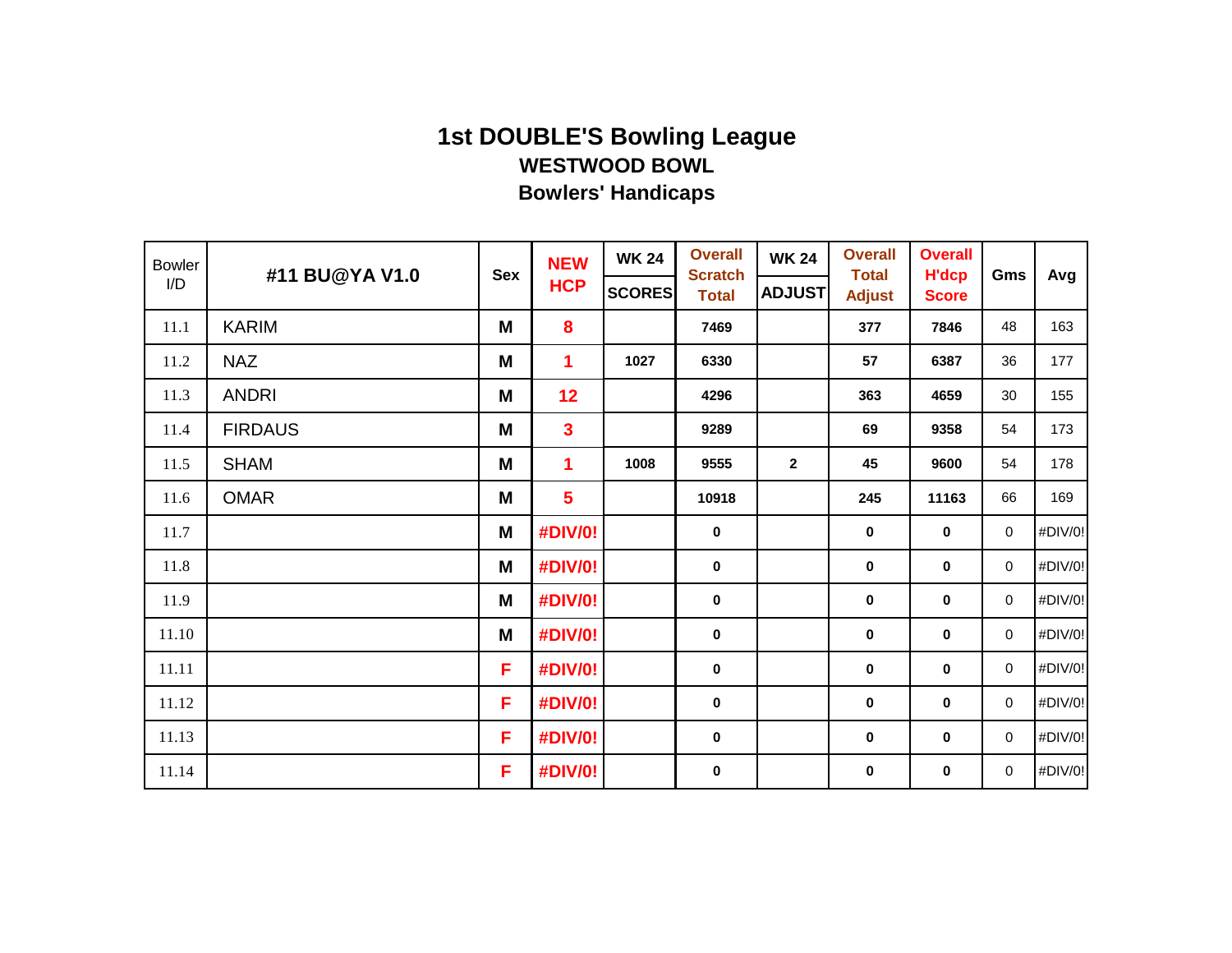| <b>Bowler</b> | #11 BU@YA V1.0 | <b>Sex</b> | <b>NEW</b>              | <b>WK 24</b>  | <b>Overall</b><br><b>Scratch</b> | <b>WK 24</b>   | <b>Overall</b><br><b>Total</b> | <b>Overall</b><br><b>H'dcp</b> | Gms         | Avg     |
|---------------|----------------|------------|-------------------------|---------------|----------------------------------|----------------|--------------------------------|--------------------------------|-------------|---------|
| I/D           |                |            | <b>HCP</b>              | <b>SCORES</b> | <b>Total</b>                     | <b>ADJUST</b>  | <b>Adjust</b>                  | <b>Score</b>                   |             |         |
| 11.1          | <b>KARIM</b>   | M          | 8                       |               | 7469                             |                | 377                            | 7846                           | 48          | 163     |
| 11.2          | <b>NAZ</b>     | M          | $\mathbf 1$             | 1027          | 6330                             |                | 57                             | 6387                           | 36          | 177     |
| 11.3          | <b>ANDRI</b>   | M          | 12                      |               | 4296                             |                | 363                            | 4659                           | 30          | 155     |
| 11.4          | <b>FIRDAUS</b> | M          | $\overline{\mathbf{3}}$ |               | 9289                             |                | 69                             | 9358                           | 54          | 173     |
| 11.5          | <b>SHAM</b>    | M          | $\overline{\mathbf{1}}$ | 1008          | 9555                             | $\overline{2}$ | 45                             | 9600                           | 54          | 178     |
| 11.6          | <b>OMAR</b>    | M          | $5\phantom{a}$          |               | 10918                            |                | 245                            | 11163                          | 66          | 169     |
| 11.7          |                | M          | #DIV/0!                 |               | $\mathbf 0$                      |                | $\pmb{0}$                      | $\pmb{0}$                      | $\mathbf 0$ | #DIV/0! |
| 11.8          |                | M          | #DIV/0!                 |               | $\mathbf 0$                      |                | $\pmb{0}$                      | $\mathbf 0$                    | $\mathbf 0$ | #DIV/0! |
| 11.9          |                | M          | #DIV/0!                 |               | $\mathbf 0$                      |                | $\pmb{0}$                      | 0                              | $\mathbf 0$ | #DIV/0! |
| 11.10         |                | M          | #DIV/0!                 |               | $\mathbf 0$                      |                | $\pmb{0}$                      | 0                              | $\mathbf 0$ | #DIV/0! |
| 11.11         |                | F          | #DIV/0!                 |               | $\pmb{0}$                        |                | $\pmb{0}$                      | 0                              | $\mathbf 0$ | #DIV/0! |
| 11.12         |                | F          | #DIV/0!                 |               | $\mathbf 0$                      |                | $\pmb{0}$                      | 0                              | $\mathbf 0$ | #DIV/0! |
| 11.13         |                | F          | #DIV/0!                 |               | $\mathbf 0$                      |                | $\pmb{0}$                      | 0                              | $\mathbf 0$ | #DIV/0! |
| 11.14         |                | F          | #DIV/0!                 |               | $\pmb{0}$                        |                | $\pmb{0}$                      | 0                              | $\mathbf 0$ | #DIV/0! |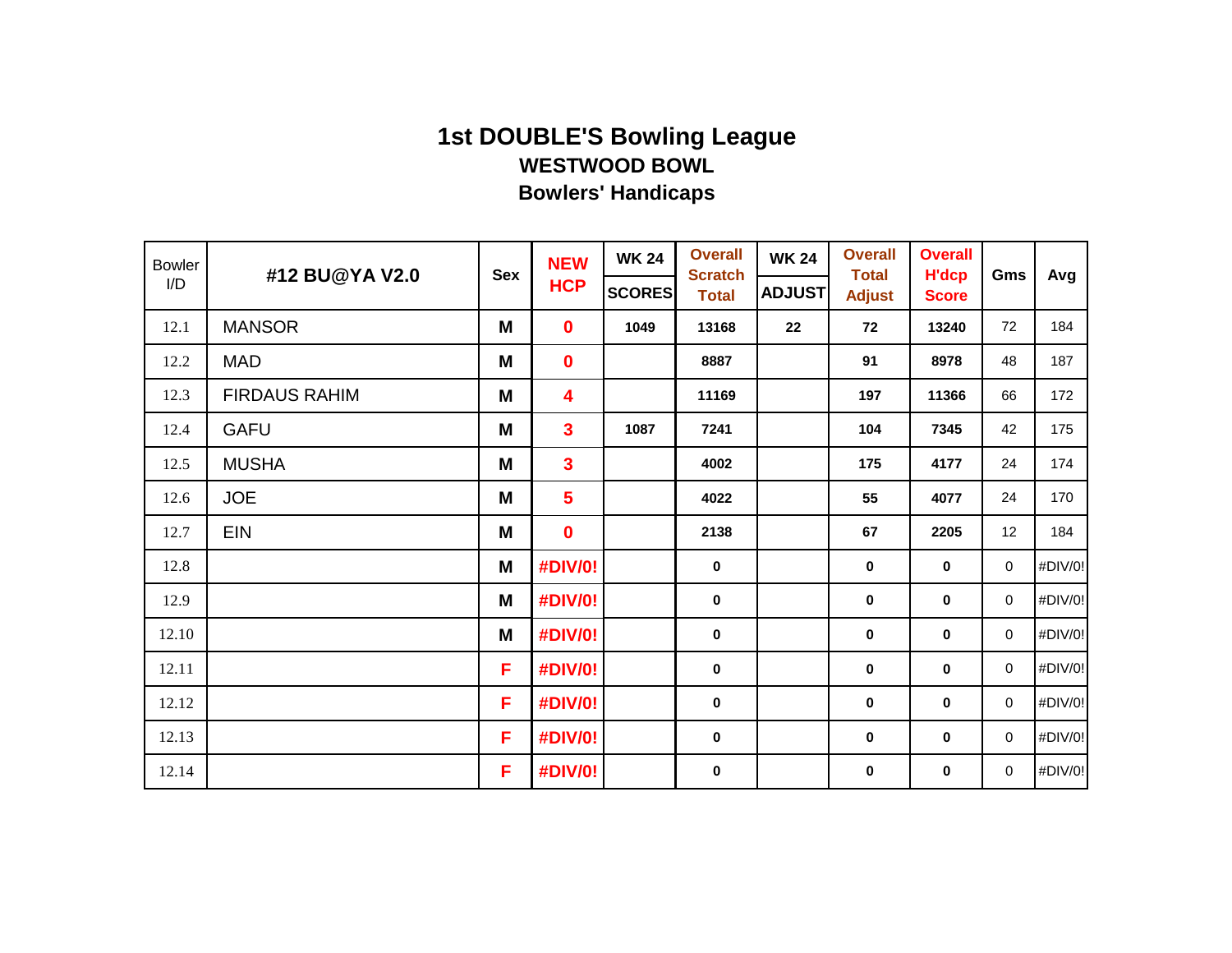| <b>Bowler</b> | #12 BU@YA V2.0       | <b>Sex</b> | <b>NEW</b>              | <b>WK 24</b>  | <b>Overall</b><br><b>Scratch</b> | <b>WK 24</b>  | <b>Overall</b><br><b>Total</b> | <b>Overall</b><br><b>H'dcp</b> | Gms         | Avg     |
|---------------|----------------------|------------|-------------------------|---------------|----------------------------------|---------------|--------------------------------|--------------------------------|-------------|---------|
| I/D           |                      |            | <b>HCP</b>              | <b>SCORES</b> | <b>Total</b>                     | <b>ADJUST</b> | <b>Adjust</b>                  | <b>Score</b>                   |             |         |
| 12.1          | <b>MANSOR</b>        | M          | $\mathbf{0}$            | 1049          | 13168                            | 22            | 72                             | 13240                          | 72          | 184     |
| 12.2          | <b>MAD</b>           | M          | $\mathbf 0$             |               | 8887                             |               | 91                             | 8978                           | 48          | 187     |
| 12.3          | <b>FIRDAUS RAHIM</b> | M          | $\overline{\mathbf{4}}$ |               | 11169                            |               | 197                            | 11366                          | 66          | 172     |
| 12.4          | <b>GAFU</b>          | M          | $\mathbf{3}$            | 1087          | 7241                             |               | 104                            | 7345                           | 42          | 175     |
| 12.5          | <b>MUSHA</b>         | M          | $\mathbf{3}$            |               | 4002                             |               | 175                            | 4177                           | 24          | 174     |
| 12.6          | <b>JOE</b>           | M          | $5\phantom{1}$          |               | 4022                             |               | 55                             | 4077                           | 24          | 170     |
| 12.7          | <b>EIN</b>           | M          | $\mathbf 0$             |               | 2138                             |               | 67                             | 2205                           | 12          | 184     |
| 12.8          |                      | M          | #DIV/0!                 |               | $\mathbf 0$                      |               | $\pmb{0}$                      | 0                              | $\mathbf 0$ | #DIV/0! |
| 12.9          |                      | M          | #DIV/0!                 |               | $\bf{0}$                         |               | 0                              | $\mathbf 0$                    | 0           | #DIV/0! |
| 12.10         |                      | M          | <b>#DIV/0!</b>          |               | $\bf{0}$                         |               | 0                              | $\mathbf 0$                    | $\mathbf 0$ | #DIV/0! |
| 12.11         |                      | F          | #DIV/0!                 |               | $\mathbf 0$                      |               | 0                              | 0                              | $\mathbf 0$ | #DIV/0! |
| 12.12         |                      | F.         | #DIV/0!                 |               | $\mathbf 0$                      |               | 0                              | 0                              | $\mathbf 0$ | #DIV/0! |
| 12.13         |                      | F.         | <b>#DIV/0!</b>          |               | $\mathbf 0$                      |               | 0                              | 0                              | $\mathbf 0$ | #DIV/0! |
| 12.14         |                      | F          | #DIV/0!                 |               | $\pmb{0}$                        |               | 0                              | 0                              | $\mathbf 0$ | #DIV/0! |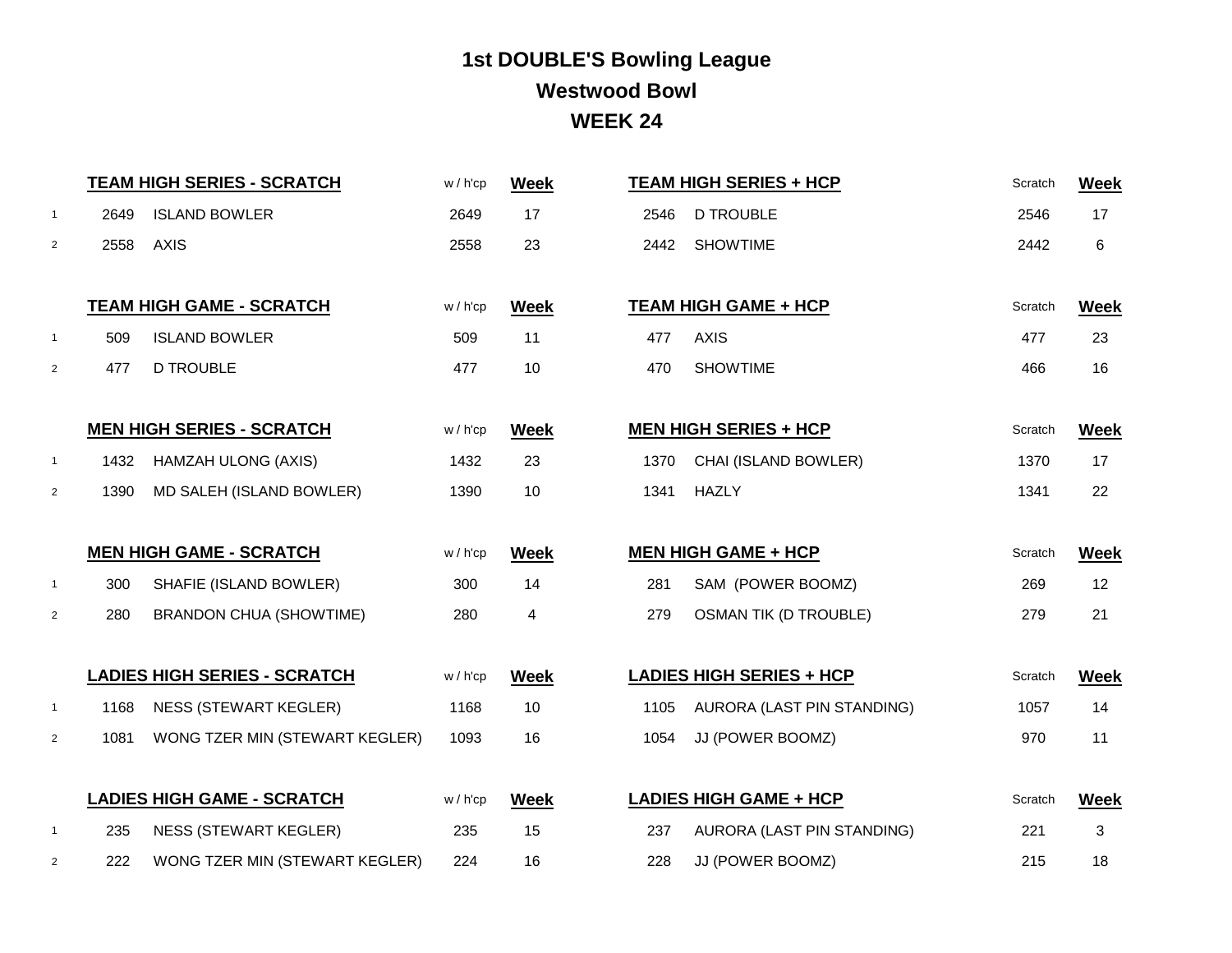# **1st DOUBLE'S Bowling League WEEK 24 Westwood Bowl**

|                | <b>TEAM HIGH SERIES - SCRATCH</b> |                                     | w/h'cp      | <b>Week</b>             |      | <b>TEAM HIGH SERIES + HCP</b>   | Scratch | <b>Week</b> |
|----------------|-----------------------------------|-------------------------------------|-------------|-------------------------|------|---------------------------------|---------|-------------|
| $\overline{1}$ | 2649                              | <b>ISLAND BOWLER</b>                | 2649        | 17                      | 2546 | <b>D TROUBLE</b>                | 2546    | 17          |
| 2              | 2558                              | <b>AXIS</b>                         | 2558        | 23                      | 2442 | <b>SHOWTIME</b>                 |         | 6           |
|                |                                   |                                     |             |                         |      |                                 |         |             |
|                |                                   | <b>TEAM HIGH GAME - SCRATCH</b>     | $w / h'$ cp | <b>Week</b>             |      | <b>TEAM HIGH GAME + HCP</b>     | Scratch | <b>Week</b> |
| $\overline{1}$ | 509                               | <b>ISLAND BOWLER</b>                | 509         | 11                      | 477  | <b>AXIS</b>                     | 477     | 23          |
| 2              | 477                               | <b>D TROUBLE</b>                    | 477         | 10                      | 470  | <b>SHOWTIME</b>                 | 466     | 16          |
|                |                                   |                                     |             |                         |      |                                 |         |             |
|                |                                   | <b>MEN HIGH SERIES - SCRATCH</b>    | w/h'cp      | <b>Week</b>             |      | <b>MEN HIGH SERIES + HCP</b>    | Scratch | <b>Week</b> |
| $\overline{1}$ | 1432                              | <b>HAMZAH ULONG (AXIS)</b>          | 1432        | 23                      | 1370 | CHAI (ISLAND BOWLER)            | 1370    | 17          |
| $\overline{2}$ | 1390                              | MD SALEH (ISLAND BOWLER)            | 1390        | 10                      | 1341 | <b>HAZLY</b>                    | 1341    | 22          |
|                |                                   |                                     |             |                         |      |                                 |         |             |
|                |                                   | <b>MEN HIGH GAME - SCRATCH</b>      | w/h'cp      | <b>Week</b>             |      | <b>MEN HIGH GAME + HCP</b>      | Scratch | <b>Week</b> |
| $\overline{1}$ | 300                               | SHAFIE (ISLAND BOWLER)              | 300         | 14                      | 281  | SAM (POWER BOOMZ)               | 269     | 12          |
| $\overline{2}$ | 280                               | <b>BRANDON CHUA (SHOWTIME)</b>      | 280         | $\overline{\mathbf{4}}$ | 279  | <b>OSMAN TIK (D TROUBLE)</b>    | 279     | 21          |
|                |                                   |                                     |             |                         |      |                                 |         |             |
|                |                                   | <b>LADIES HIGH SERIES - SCRATCH</b> | $w / h'$ cp | <b>Week</b>             |      | <b>LADIES HIGH SERIES + HCP</b> | Scratch | <b>Week</b> |
| $\overline{1}$ | 1168                              | <b>NESS (STEWART KEGLER)</b>        | 1168        | 10                      | 1105 | AURORA (LAST PIN STANDING)      | 1057    | 14          |
| $\overline{2}$ | 1081                              | WONG TZER MIN (STEWART KEGLER)      | 1093        | 16                      | 1054 | JJ (POWER BOOMZ)                | 970     | 11          |
|                |                                   |                                     |             |                         |      |                                 |         |             |
|                |                                   | <b>LADIES HIGH GAME - SCRATCH</b>   | w/h'cp      | <b>Week</b>             |      | <b>LADIES HIGH GAME + HCP</b>   | Scratch | <b>Week</b> |
| $\overline{1}$ | 235                               | <b>NESS (STEWART KEGLER)</b>        | 235         | 15                      | 237  | AURORA (LAST PIN STANDING)      | 221     | 3           |
| 2              | 222                               | WONG TZER MIN (STEWART KEGLER)      | 224         | 16                      | 228  | JJ (POWER BOOMZ)                | 215     | 18          |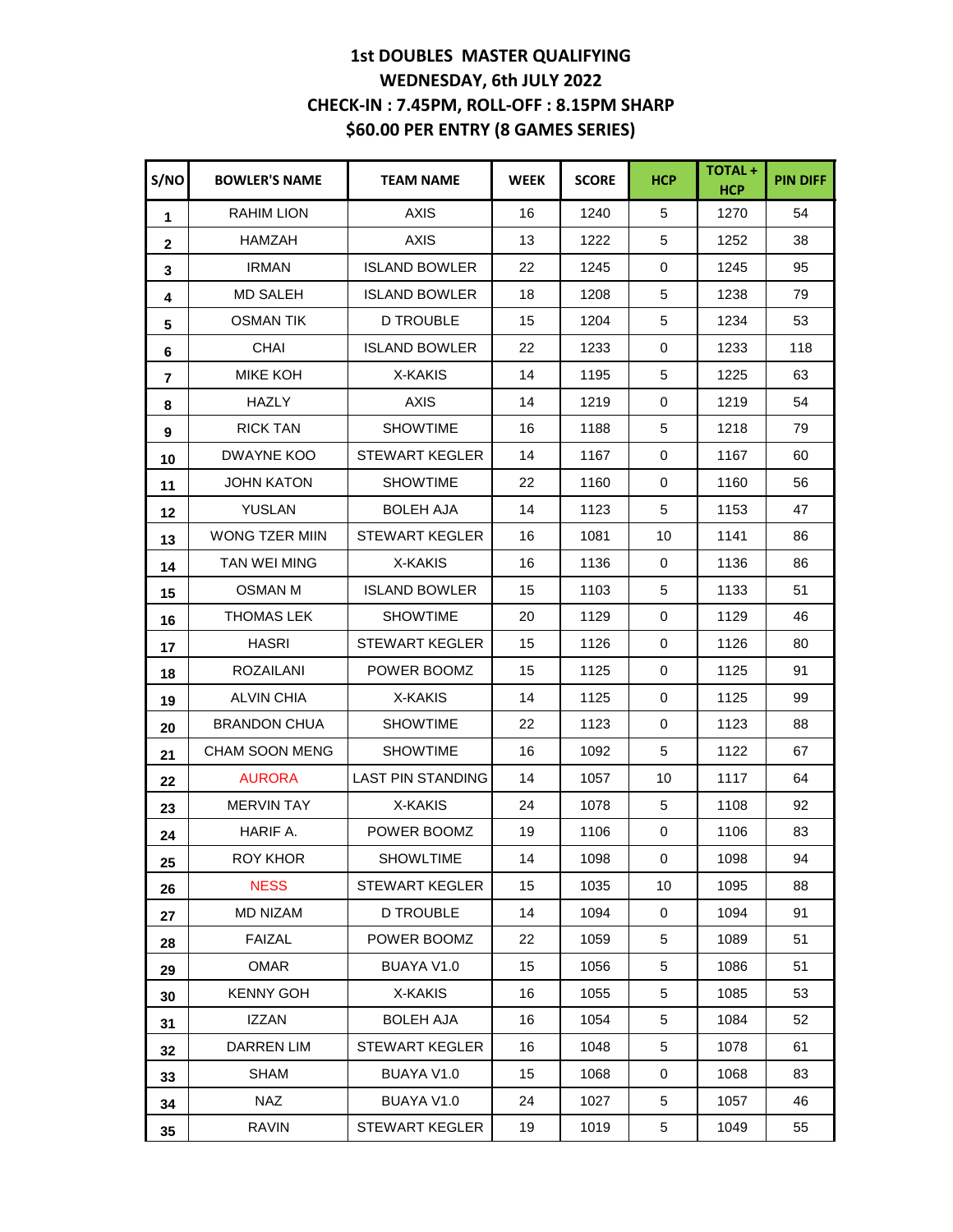#### **1st DOUBLES MASTER QUALIFYING WEDNESDAY, 6th JULY 2022 CHECK-IN : 7.45PM, ROLL-OFF : 8.15PM SHARP \$60.00 PER ENTRY (8 GAMES SERIES)**

| S/NO         | <b>BOWLER'S NAME</b>  | <b>TEAM NAME</b>         | <b>WEEK</b> | <b>SCORE</b> | <b>HCP</b> | TOTAL+<br><b>HCP</b> | <b>PIN DIFF</b> |
|--------------|-----------------------|--------------------------|-------------|--------------|------------|----------------------|-----------------|
| 1            | <b>RAHIM LION</b>     | <b>AXIS</b>              | 16          | 1240         | 5          | 1270                 | 54              |
| $\mathbf{2}$ | HAMZAH                | <b>AXIS</b>              | 13          | 1222         | 5          | 1252                 | 38              |
| $\mathbf{3}$ | <b>IRMAN</b>          | <b>ISLAND BOWLER</b>     | 22          | 1245         | 0          | 1245                 | 95              |
| 4            | <b>MD SALEH</b>       | <b>ISLAND BOWLER</b>     | 18          | 1208         | 5          | 1238                 | 79              |
| 5            | <b>OSMAN TIK</b>      | <b>D TROUBLE</b>         | 15          | 1204         | 5          | 1234                 | 53              |
| 6            | <b>CHAI</b>           | <b>ISLAND BOWLER</b>     | 22          | 1233         | 0          | 1233                 | 118             |
| 7            | <b>MIKE KOH</b>       | X-KAKIS                  | 14          | 1195         | 5          | 1225                 | 63              |
| 8            | <b>HAZLY</b>          | <b>AXIS</b>              | 14          | 1219         | 0          | 1219                 | 54              |
| 9            | <b>RICK TAN</b>       | <b>SHOWTIME</b>          | 16          | 1188         | 5          | 1218                 | 79              |
| 10           | DWAYNE KOO            | <b>STEWART KEGLER</b>    | 14          | 1167         | 0          | 1167                 | 60              |
| 11           | JOHN KATON            | <b>SHOWTIME</b>          | 22          | 1160         | 0          | 1160                 | 56              |
| 12           | <b>YUSLAN</b>         | <b>BOLEH AJA</b>         | 14          | 1123         | 5          | 1153                 | 47              |
| 13           | <b>WONG TZER MIIN</b> | <b>STEWART KEGLER</b>    | 16          | 1081         | 10         | 1141                 | 86              |
| 14           | TAN WEI MING          | X-KAKIS                  | 16          | 1136         | 0          | 1136                 | 86              |
| 15           | <b>OSMAN M</b>        | <b>ISLAND BOWLER</b>     | 15          | 1103         | 5          | 1133                 | 51              |
| 16           | <b>THOMAS LEK</b>     | <b>SHOWTIME</b>          | 20          | 1129         | 0          | 1129                 | 46              |
| 17           | <b>HASRI</b>          | <b>STEWART KEGLER</b>    | 15          | 1126         | 0          | 1126                 | 80              |
| 18           | <b>ROZAILANI</b>      | POWER BOOMZ              | 15          | 1125         | 0          | 1125                 | 91              |
| 19           | <b>ALVIN CHIA</b>     | X-KAKIS                  | 14          | 1125         | 0          | 1125                 | 99              |
| 20           | <b>BRANDON CHUA</b>   | <b>SHOWTIME</b>          | 22          | 1123         | 0          | 1123                 | 88              |
| 21           | <b>CHAM SOON MENG</b> | <b>SHOWTIME</b>          | 16          | 1092         | 5          | 1122                 | 67              |
| 22           | <b>AURORA</b>         | <b>LAST PIN STANDING</b> | 14          | 1057         | 10         | 1117                 | 64              |
| 23           | <b>MERVIN TAY</b>     | X-KAKIS                  | 24          | 1078         | 5          | 1108                 | 92              |
| 24           | HARIF A.              | POWER BOOMZ              | 19          | 1106         | 0          | 1106                 | 83              |
| 25           | <b>ROY KHOR</b>       | <b>SHOWLTIME</b>         | 14          | 1098         | 0          | 1098                 | 94              |
| 26           | <b>NESS</b>           | <b>STEWART KEGLER</b>    | 15          | 1035         | 10         | 1095                 | 88              |
| 27           | <b>MD NIZAM</b>       | <b>D TROUBLE</b>         | 14          | 1094         | 0          | 1094                 | 91              |
| 28           | <b>FAIZAL</b>         | POWER BOOMZ              | 22          | 1059         | 5          | 1089                 | 51              |
| 29           | OMAR                  | BUAYA V1.0               | 15          | 1056         | 5          | 1086                 | 51              |
| 30           | <b>KENNY GOH</b>      | X-KAKIS                  | 16          | 1055         | 5          | 1085                 | 53              |
| 31           | <b>IZZAN</b>          | <b>BOLEH AJA</b>         | 16          | 1054         | 5          | 1084                 | 52              |
| 32           | DARREN LIM            | <b>STEWART KEGLER</b>    | 16          | 1048         | 5          | 1078                 | 61              |
| 33           | <b>SHAM</b>           | BUAYA V1.0               | 15          | 1068         | 0          | 1068                 | 83              |
| 34           | NAZ                   | BUAYA V1.0               | 24          | 1027         | 5          | 1057                 | 46              |
| 35           | <b>RAVIN</b>          | STEWART KEGLER           | 19          | 1019         | 5          | 1049                 | 55              |